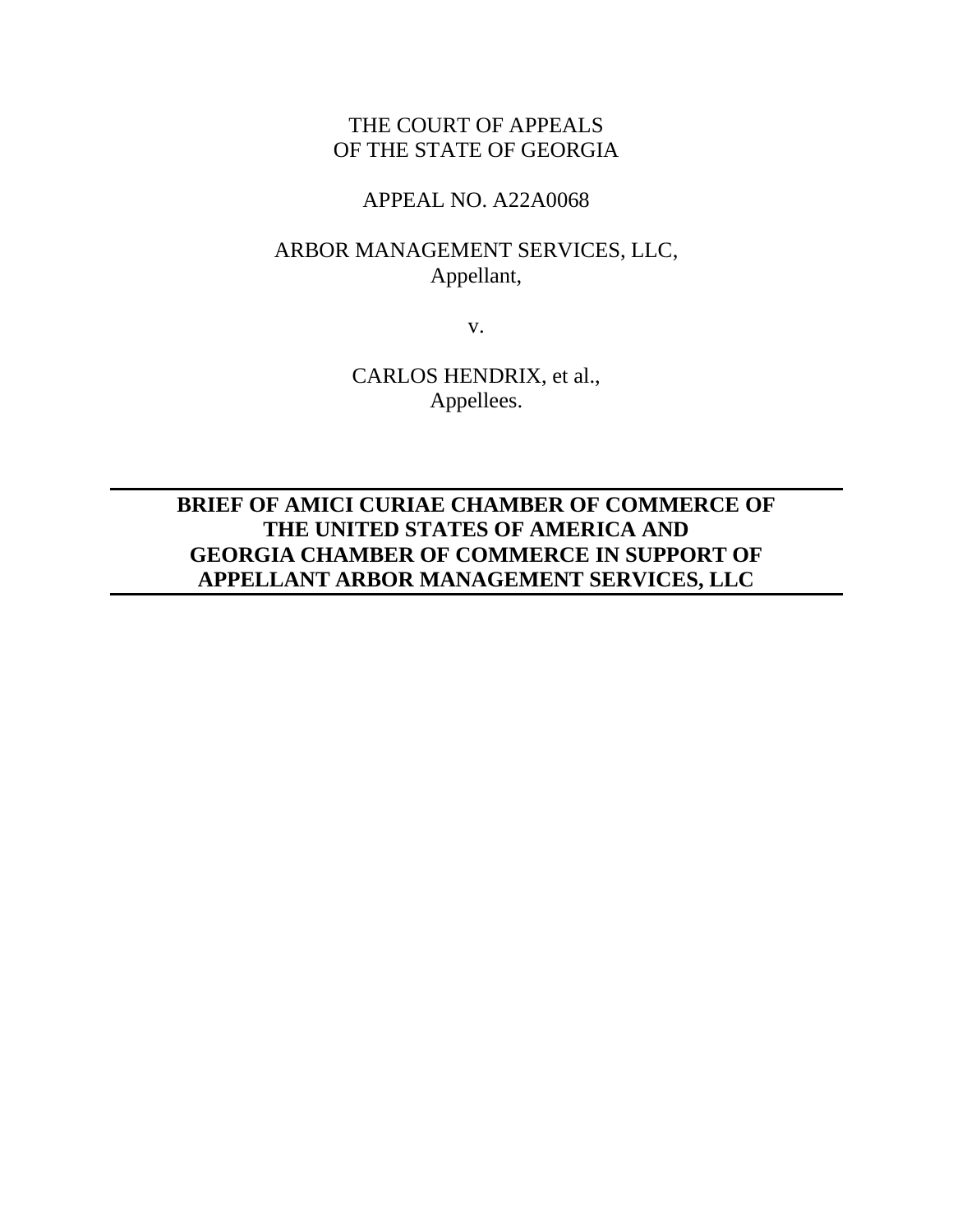# THE COURT OF APPEALS OF THE STATE OF GEORGIA

## APPEAL NO. A22A0068

# ARBOR MANAGEMENT SERVICES, LLC, Appellant,

v.

CARLOS HENDRIX, et al., Appellees.

**BRIEF OF AMICI CURIAE CHAMBER OF COMMERCE OF THE UNITED STATES OF AMERICA AND GEORGIA CHAMBER OF COMMERCE IN SUPPORT OF APPELLANT ARBOR MANAGEMENT SERVICES, LLC**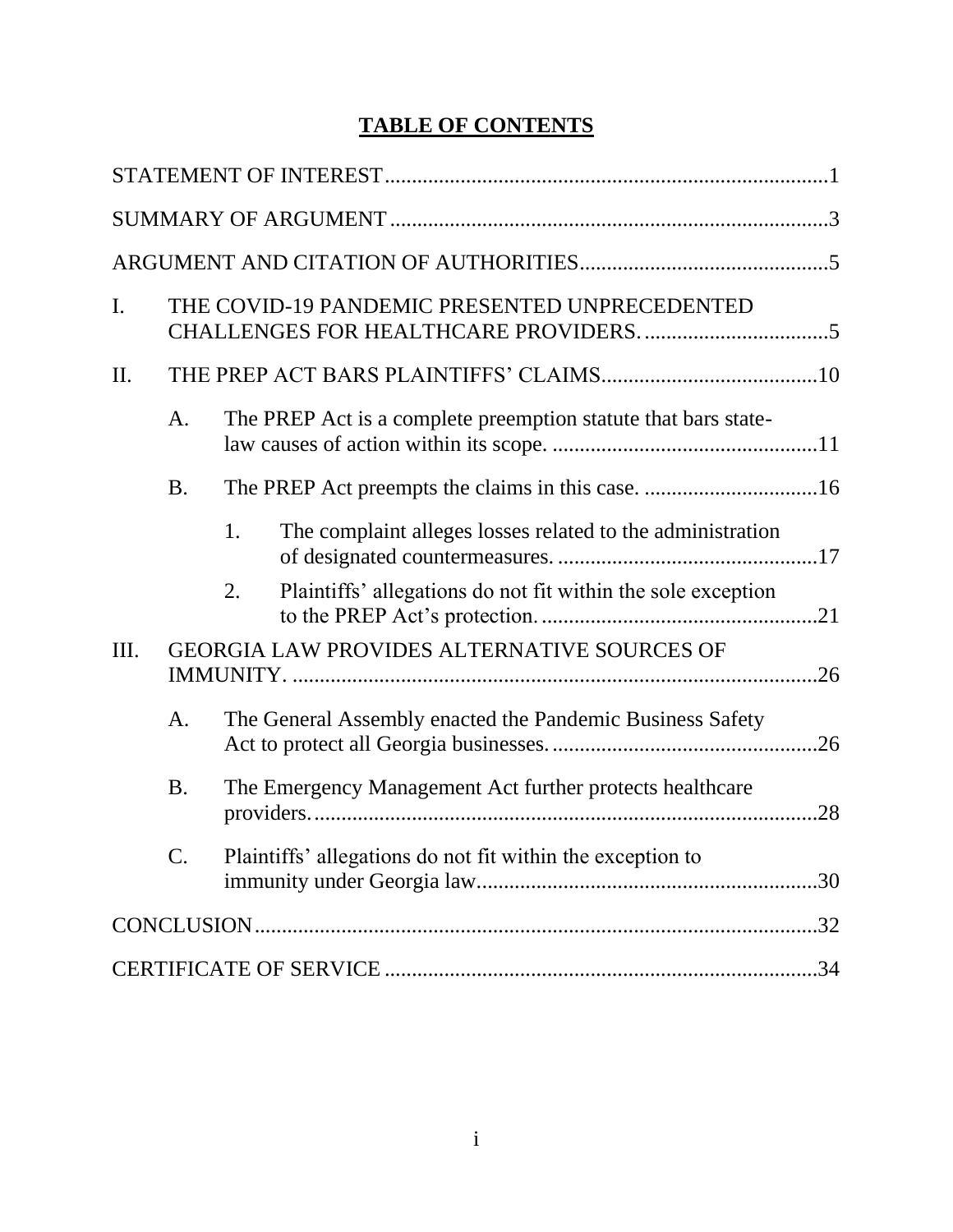# **TABLE OF CONTENTS**

| $\mathbf{I}$ . |                 | THE COVID-19 PANDEMIC PRESENTED UNPRECEDENTED                      |  |  |
|----------------|-----------------|--------------------------------------------------------------------|--|--|
| II.            |                 |                                                                    |  |  |
|                | A.              | The PREP Act is a complete preemption statute that bars state-     |  |  |
|                | <b>B.</b>       | The PREP Act preempts the claims in this case. 16                  |  |  |
|                |                 | The complaint alleges losses related to the administration<br>1.   |  |  |
|                |                 | Plaintiffs' allegations do not fit within the sole exception<br>2. |  |  |
| III.           |                 | GEORGIA LAW PROVIDES ALTERNATIVE SOURCES OF                        |  |  |
|                | A.              | The General Assembly enacted the Pandemic Business Safety          |  |  |
|                | <b>B.</b>       | The Emergency Management Act further protects healthcare<br>.28    |  |  |
|                | $\mathcal{C}$ . | Plaintiffs' allegations do not fit within the exception to         |  |  |
|                |                 |                                                                    |  |  |
|                |                 |                                                                    |  |  |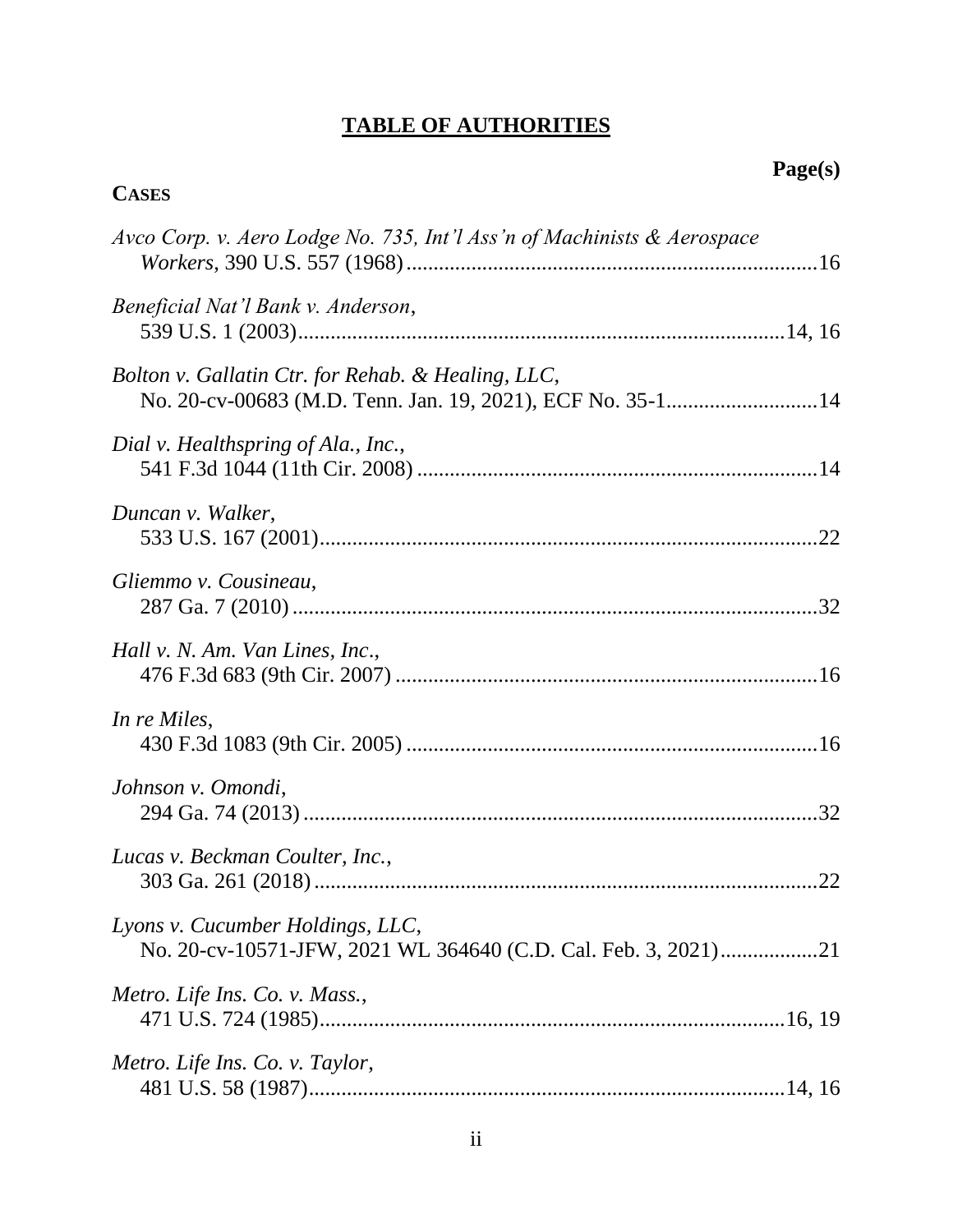# **TABLE OF AUTHORITIES**

# **CASES**

| Avco Corp. v. Aero Lodge No. 735, Int'l Ass'n of Machinists & Aerospace                                          |
|------------------------------------------------------------------------------------------------------------------|
| Beneficial Nat'l Bank v. Anderson,                                                                               |
| Bolton v. Gallatin Ctr. for Rehab. & Healing, LLC,<br>No. 20-cv-00683 (M.D. Tenn. Jan. 19, 2021), ECF No. 35-114 |
| Dial v. Healthspring of Ala., Inc.,                                                                              |
| Duncan v. Walker,                                                                                                |
| Gliemmo v. Cousineau,                                                                                            |
| Hall v. N. Am. Van Lines, Inc.,                                                                                  |
| In re Miles,                                                                                                     |
| Johnson v. Omondi,                                                                                               |
| Lucas v. Beckman Coulter, Inc.,                                                                                  |
| Lyons v. Cucumber Holdings, LLC,<br>No. 20-cv-10571-JFW, 2021 WL 364640 (C.D. Cal. Feb. 3, 2021)21               |
| Metro. Life Ins. Co. v. Mass.,                                                                                   |
| Metro. Life Ins. Co. v. Taylor,                                                                                  |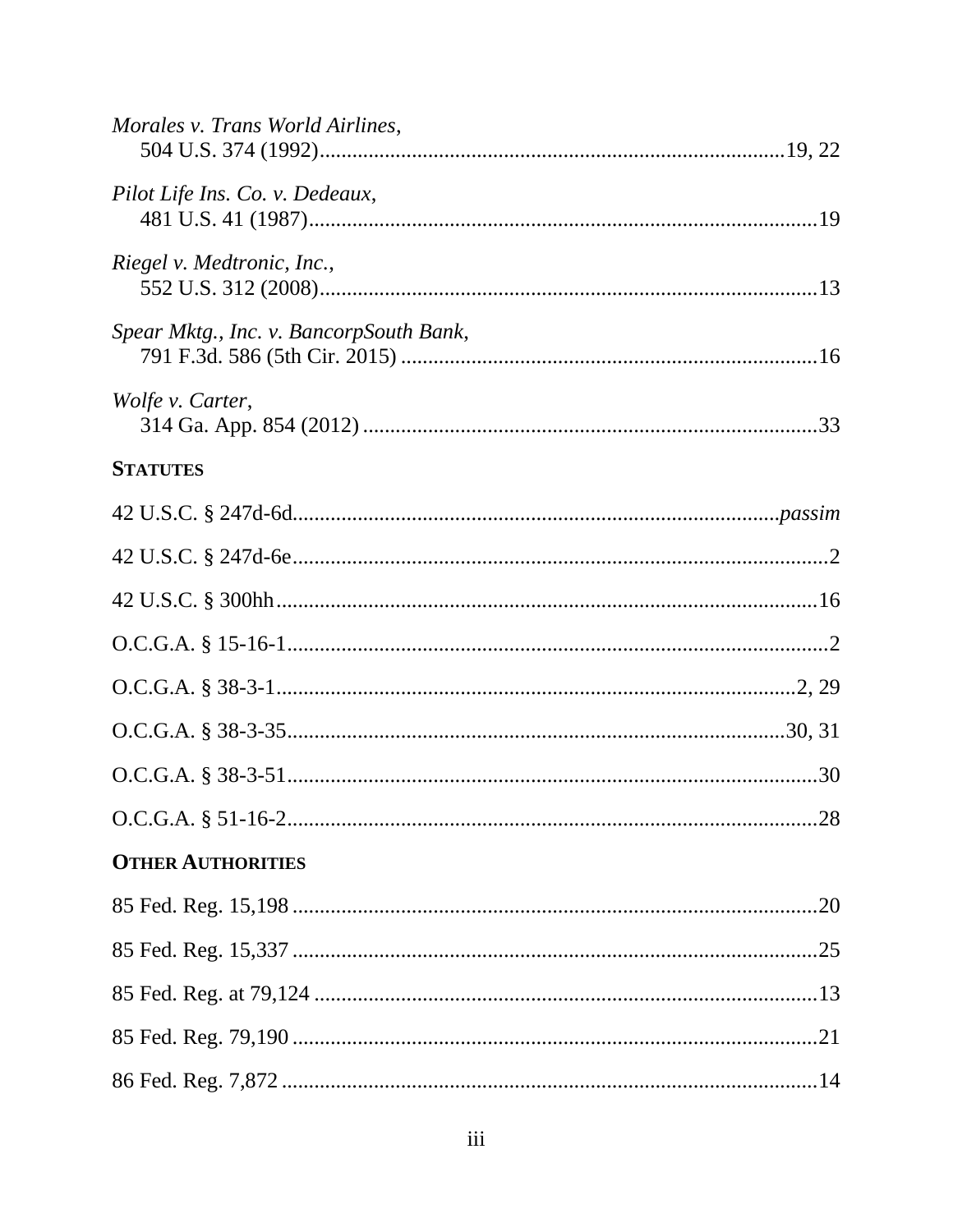| Morales v. Trans World Airlines,        |
|-----------------------------------------|
| Pilot Life Ins. Co. v. Dedeaux,         |
| Riegel v. Medtronic, Inc.,              |
| Spear Mktg., Inc. v. BancorpSouth Bank, |
| Wolfe v. Carter,                        |
| <b>STATUTES</b>                         |
|                                         |
|                                         |
|                                         |
|                                         |
|                                         |
|                                         |
|                                         |
|                                         |
| <b>OTHER AUTHORITIES</b>                |
|                                         |
|                                         |
|                                         |
|                                         |
|                                         |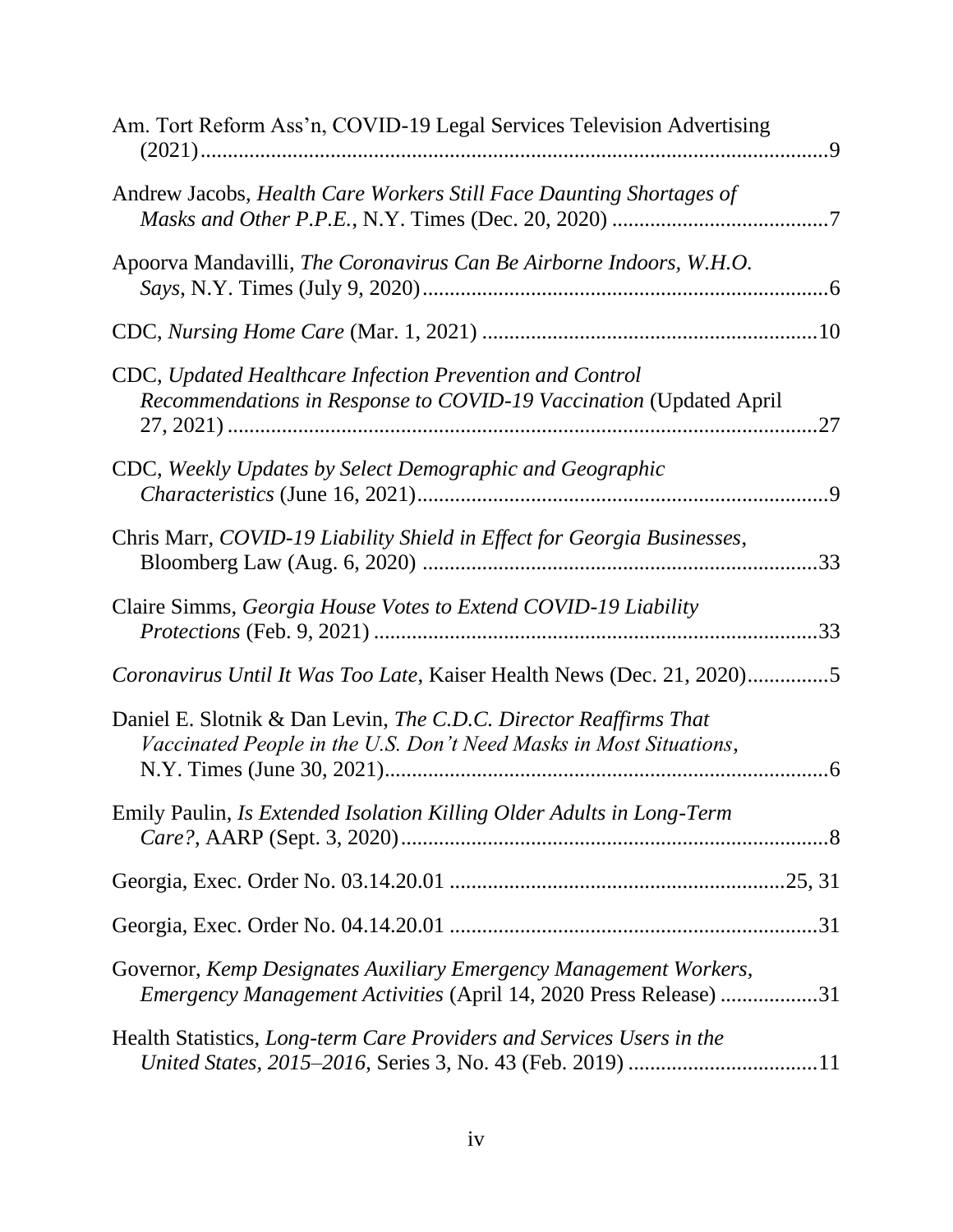| Am. Tort Reform Ass'n, COVID-19 Legal Services Television Advertising                                                                   |
|-----------------------------------------------------------------------------------------------------------------------------------------|
| Andrew Jacobs, Health Care Workers Still Face Daunting Shortages of                                                                     |
| Apoorva Mandavilli, The Coronavirus Can Be Airborne Indoors, W.H.O.                                                                     |
|                                                                                                                                         |
| CDC, Updated Healthcare Infection Prevention and Control<br>Recommendations in Response to COVID-19 Vaccination (Updated April          |
| CDC, Weekly Updates by Select Demographic and Geographic                                                                                |
| Chris Marr, COVID-19 Liability Shield in Effect for Georgia Businesses,                                                                 |
| Claire Simms, Georgia House Votes to Extend COVID-19 Liability                                                                          |
| Coronavirus Until It Was Too Late, Kaiser Health News (Dec. 21, 2020)5                                                                  |
| Daniel E. Slotnik & Dan Levin, The C.D.C. Director Reaffirms That<br>Vaccinated People in the U.S. Don't Need Masks in Most Situations, |
| Emily Paulin, Is Extended Isolation Killing Older Adults in Long-Term                                                                   |
|                                                                                                                                         |
|                                                                                                                                         |
| Governor, Kemp Designates Auxiliary Emergency Management Workers,<br>Emergency Management Activities (April 14, 2020 Press Release) 31  |
| Health Statistics, Long-term Care Providers and Services Users in the                                                                   |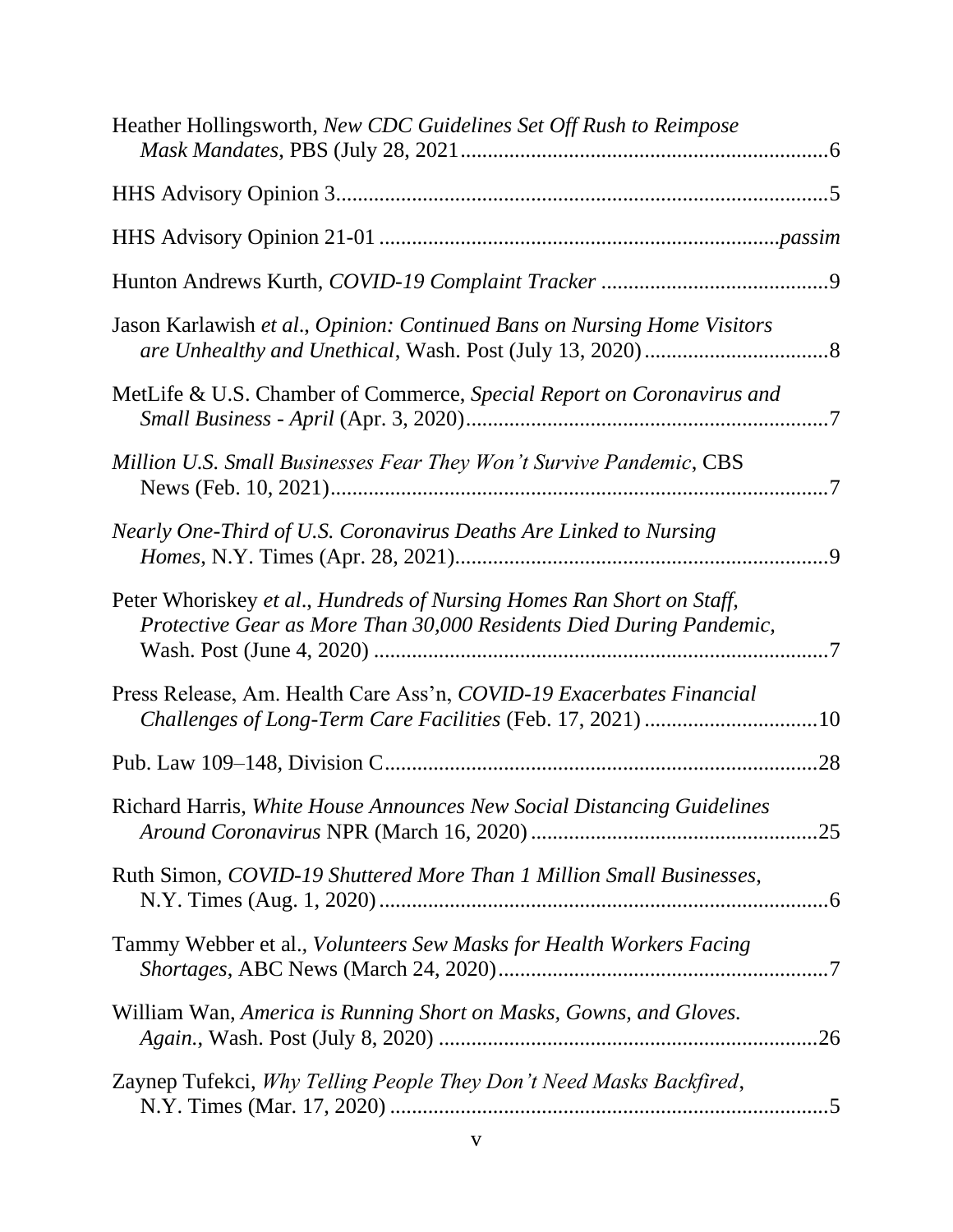| Jason Karlawish et al., Opinion: Continued Bans on Nursing Home Visitors<br>MetLife & U.S. Chamber of Commerce, Special Report on Coronavirus and<br>Million U.S. Small Businesses Fear They Won't Survive Pandemic, CBS<br>Nearly One-Third of U.S. Coronavirus Deaths Are Linked to Nursing<br>Peter Whoriskey et al., Hundreds of Nursing Homes Ran Short on Staff,<br>Protective Gear as More Than 30,000 Residents Died During Pandemic,<br>Press Release, Am. Health Care Ass'n, COVID-19 Exacerbates Financial<br>Challenges of Long-Term Care Facilities (Feb. 17, 2021) 10<br>Richard Harris, White House Announces New Social Distancing Guidelines<br>Ruth Simon, COVID-19 Shuttered More Than 1 Million Small Businesses,<br>Tammy Webber et al., Volunteers Sew Masks for Health Workers Facing<br>William Wan, America is Running Short on Masks, Gowns, and Gloves.<br>Zaynep Tufekci, Why Telling People They Don't Need Masks Backfired, | Heather Hollingsworth, New CDC Guidelines Set Off Rush to Reimpose |  |
|-----------------------------------------------------------------------------------------------------------------------------------------------------------------------------------------------------------------------------------------------------------------------------------------------------------------------------------------------------------------------------------------------------------------------------------------------------------------------------------------------------------------------------------------------------------------------------------------------------------------------------------------------------------------------------------------------------------------------------------------------------------------------------------------------------------------------------------------------------------------------------------------------------------------------------------------------------------|--------------------------------------------------------------------|--|
|                                                                                                                                                                                                                                                                                                                                                                                                                                                                                                                                                                                                                                                                                                                                                                                                                                                                                                                                                           |                                                                    |  |
|                                                                                                                                                                                                                                                                                                                                                                                                                                                                                                                                                                                                                                                                                                                                                                                                                                                                                                                                                           |                                                                    |  |
|                                                                                                                                                                                                                                                                                                                                                                                                                                                                                                                                                                                                                                                                                                                                                                                                                                                                                                                                                           |                                                                    |  |
|                                                                                                                                                                                                                                                                                                                                                                                                                                                                                                                                                                                                                                                                                                                                                                                                                                                                                                                                                           |                                                                    |  |
|                                                                                                                                                                                                                                                                                                                                                                                                                                                                                                                                                                                                                                                                                                                                                                                                                                                                                                                                                           |                                                                    |  |
|                                                                                                                                                                                                                                                                                                                                                                                                                                                                                                                                                                                                                                                                                                                                                                                                                                                                                                                                                           |                                                                    |  |
|                                                                                                                                                                                                                                                                                                                                                                                                                                                                                                                                                                                                                                                                                                                                                                                                                                                                                                                                                           |                                                                    |  |
|                                                                                                                                                                                                                                                                                                                                                                                                                                                                                                                                                                                                                                                                                                                                                                                                                                                                                                                                                           |                                                                    |  |
|                                                                                                                                                                                                                                                                                                                                                                                                                                                                                                                                                                                                                                                                                                                                                                                                                                                                                                                                                           |                                                                    |  |
|                                                                                                                                                                                                                                                                                                                                                                                                                                                                                                                                                                                                                                                                                                                                                                                                                                                                                                                                                           |                                                                    |  |
|                                                                                                                                                                                                                                                                                                                                                                                                                                                                                                                                                                                                                                                                                                                                                                                                                                                                                                                                                           |                                                                    |  |
|                                                                                                                                                                                                                                                                                                                                                                                                                                                                                                                                                                                                                                                                                                                                                                                                                                                                                                                                                           |                                                                    |  |
|                                                                                                                                                                                                                                                                                                                                                                                                                                                                                                                                                                                                                                                                                                                                                                                                                                                                                                                                                           |                                                                    |  |
|                                                                                                                                                                                                                                                                                                                                                                                                                                                                                                                                                                                                                                                                                                                                                                                                                                                                                                                                                           |                                                                    |  |
|                                                                                                                                                                                                                                                                                                                                                                                                                                                                                                                                                                                                                                                                                                                                                                                                                                                                                                                                                           |                                                                    |  |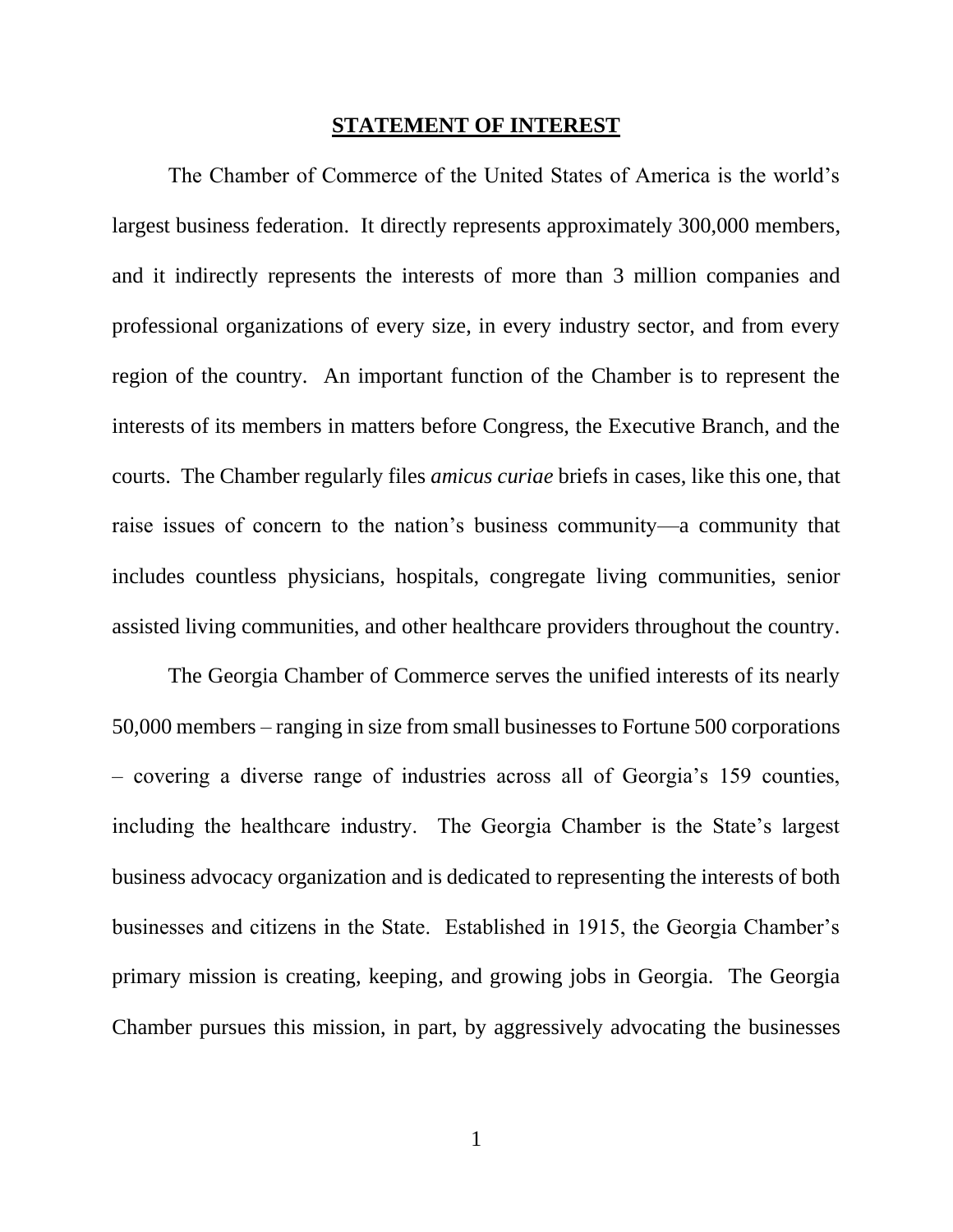#### **STATEMENT OF INTEREST**

<span id="page-6-0"></span>The Chamber of Commerce of the United States of America is the world's largest business federation. It directly represents approximately 300,000 members, and it indirectly represents the interests of more than 3 million companies and professional organizations of every size, in every industry sector, and from every region of the country. An important function of the Chamber is to represent the interests of its members in matters before Congress, the Executive Branch, and the courts. The Chamber regularly files *amicus curiae* briefs in cases, like this one, that raise issues of concern to the nation's business community—a community that includes countless physicians, hospitals, congregate living communities, senior assisted living communities, and other healthcare providers throughout the country.

The Georgia Chamber of Commerce serves the unified interests of its nearly 50,000 members – ranging in size from small businesses to Fortune 500 corporations – covering a diverse range of industries across all of Georgia's 159 counties, including the healthcare industry. The Georgia Chamber is the State's largest business advocacy organization and is dedicated to representing the interests of both businesses and citizens in the State. Established in 1915, the Georgia Chamber's primary mission is creating, keeping, and growing jobs in Georgia. The Georgia Chamber pursues this mission, in part, by aggressively advocating the businesses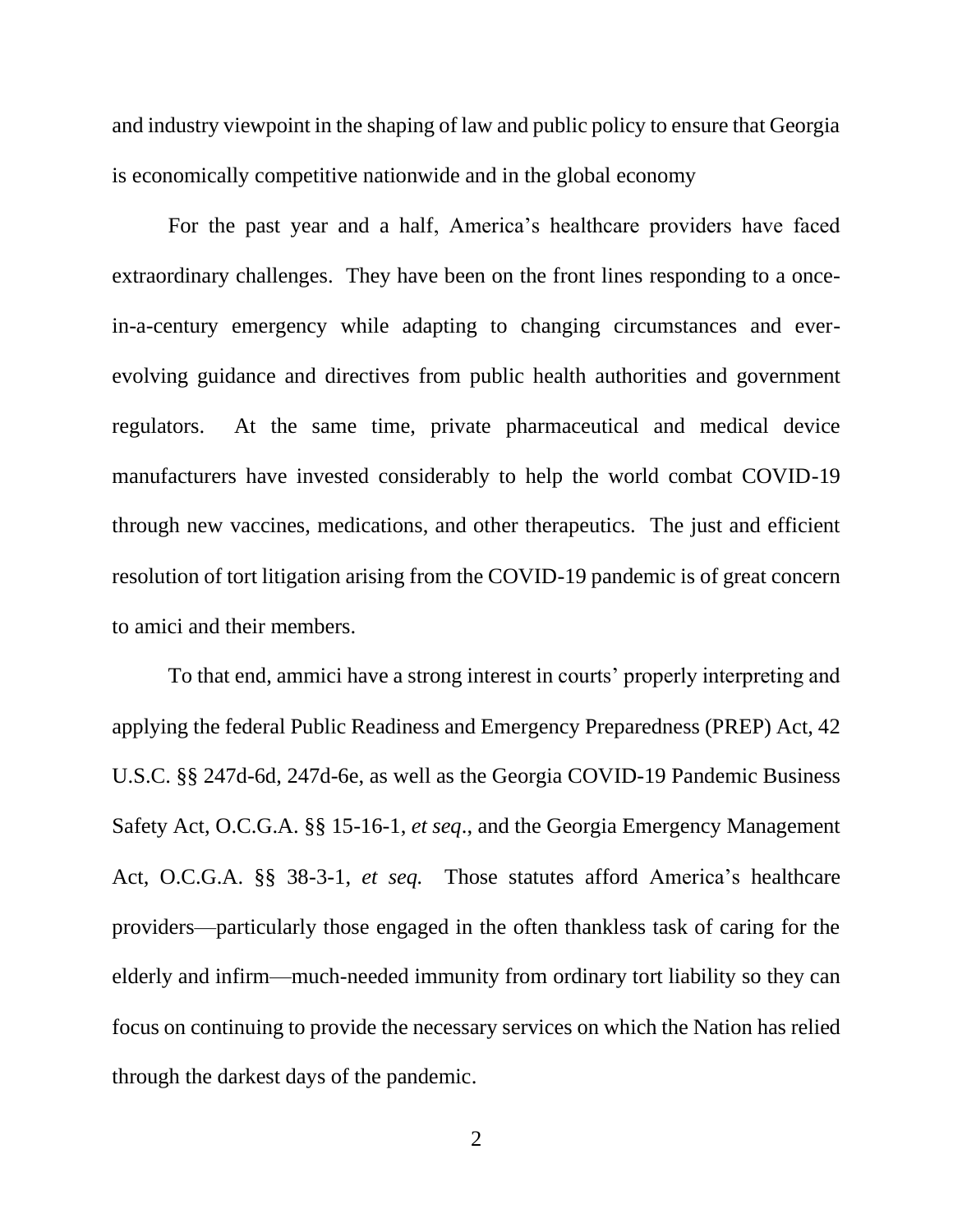and industry viewpoint in the shaping of law and public policy to ensure that Georgia is economically competitive nationwide and in the global economy

For the past year and a half, America's healthcare providers have faced extraordinary challenges. They have been on the front lines responding to a oncein-a-century emergency while adapting to changing circumstances and everevolving guidance and directives from public health authorities and government regulators. At the same time, private pharmaceutical and medical device manufacturers have invested considerably to help the world combat COVID-19 through new vaccines, medications, and other therapeutics. The just and efficient resolution of tort litigation arising from the COVID-19 pandemic is of great concern to amici and their members.

<span id="page-7-2"></span><span id="page-7-1"></span><span id="page-7-0"></span>To that end, ammici have a strong interest in courts' properly interpreting and applying the federal Public Readiness and Emergency Preparedness (PREP) Act, 42 U.S.C. §§ 247d-6d, 247d-6e, as well as the Georgia COVID-19 Pandemic Business Safety Act, O.C.G.A. §§ 15-16-1, *et seq*., and the Georgia Emergency Management Act, O.C.G.A. §§ 38-3-1, *et seq.* Those statutes afford America's healthcare providers—particularly those engaged in the often thankless task of caring for the elderly and infirm—much-needed immunity from ordinary tort liability so they can focus on continuing to provide the necessary services on which the Nation has relied through the darkest days of the pandemic.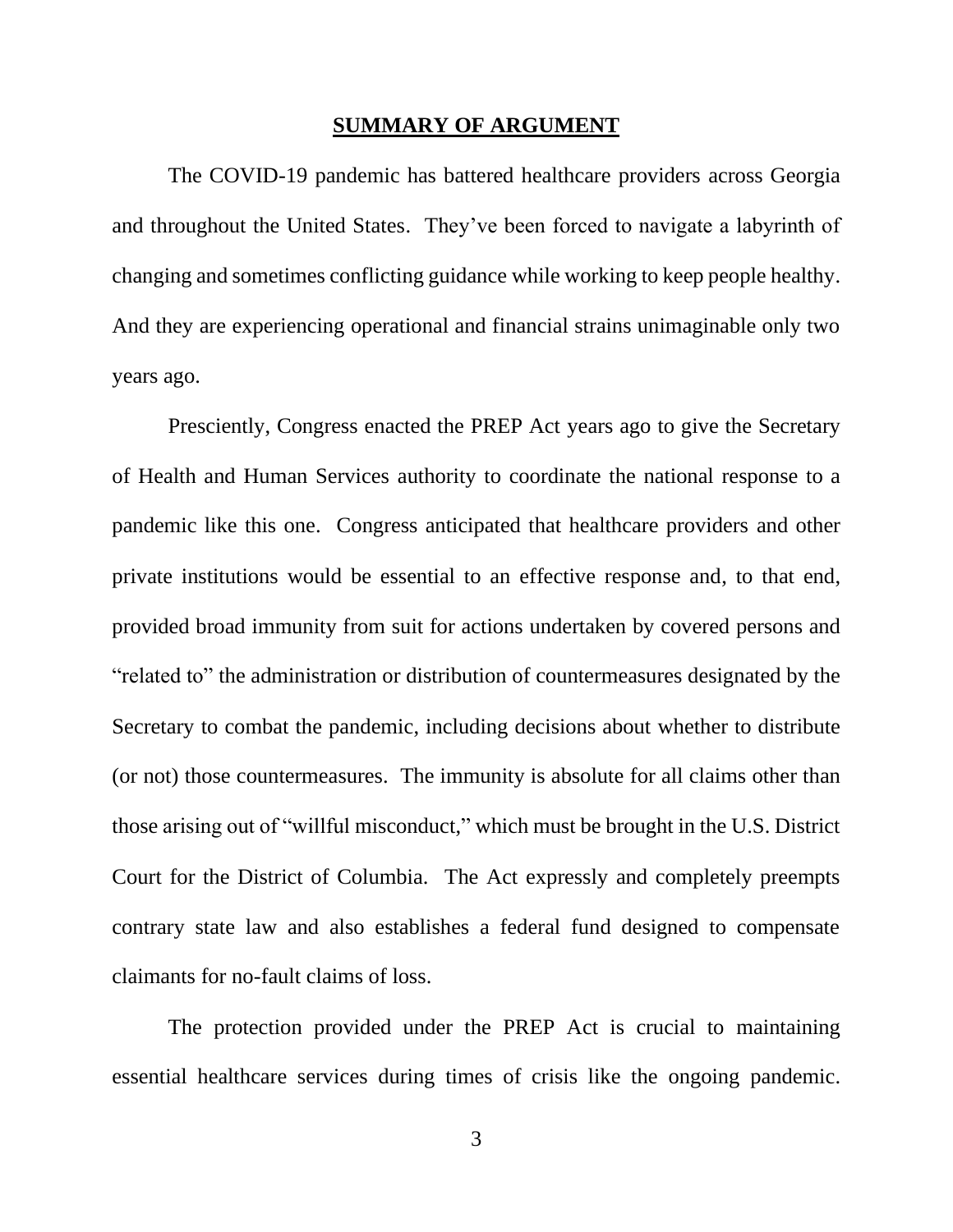#### **SUMMARY OF ARGUMENT**

<span id="page-8-0"></span>The COVID-19 pandemic has battered healthcare providers across Georgia and throughout the United States. They've been forced to navigate a labyrinth of changing and sometimes conflicting guidance while working to keep people healthy. And they are experiencing operational and financial strains unimaginable only two years ago.

Presciently, Congress enacted the PREP Act years ago to give the Secretary of Health and Human Services authority to coordinate the national response to a pandemic like this one. Congress anticipated that healthcare providers and other private institutions would be essential to an effective response and, to that end, provided broad immunity from suit for actions undertaken by covered persons and "related to" the administration or distribution of countermeasures designated by the Secretary to combat the pandemic, including decisions about whether to distribute (or not) those countermeasures. The immunity is absolute for all claims other than those arising out of "willful misconduct," which must be brought in the U.S. District Court for the District of Columbia. The Act expressly and completely preempts contrary state law and also establishes a federal fund designed to compensate claimants for no-fault claims of loss.

The protection provided under the PREP Act is crucial to maintaining essential healthcare services during times of crisis like the ongoing pandemic.

3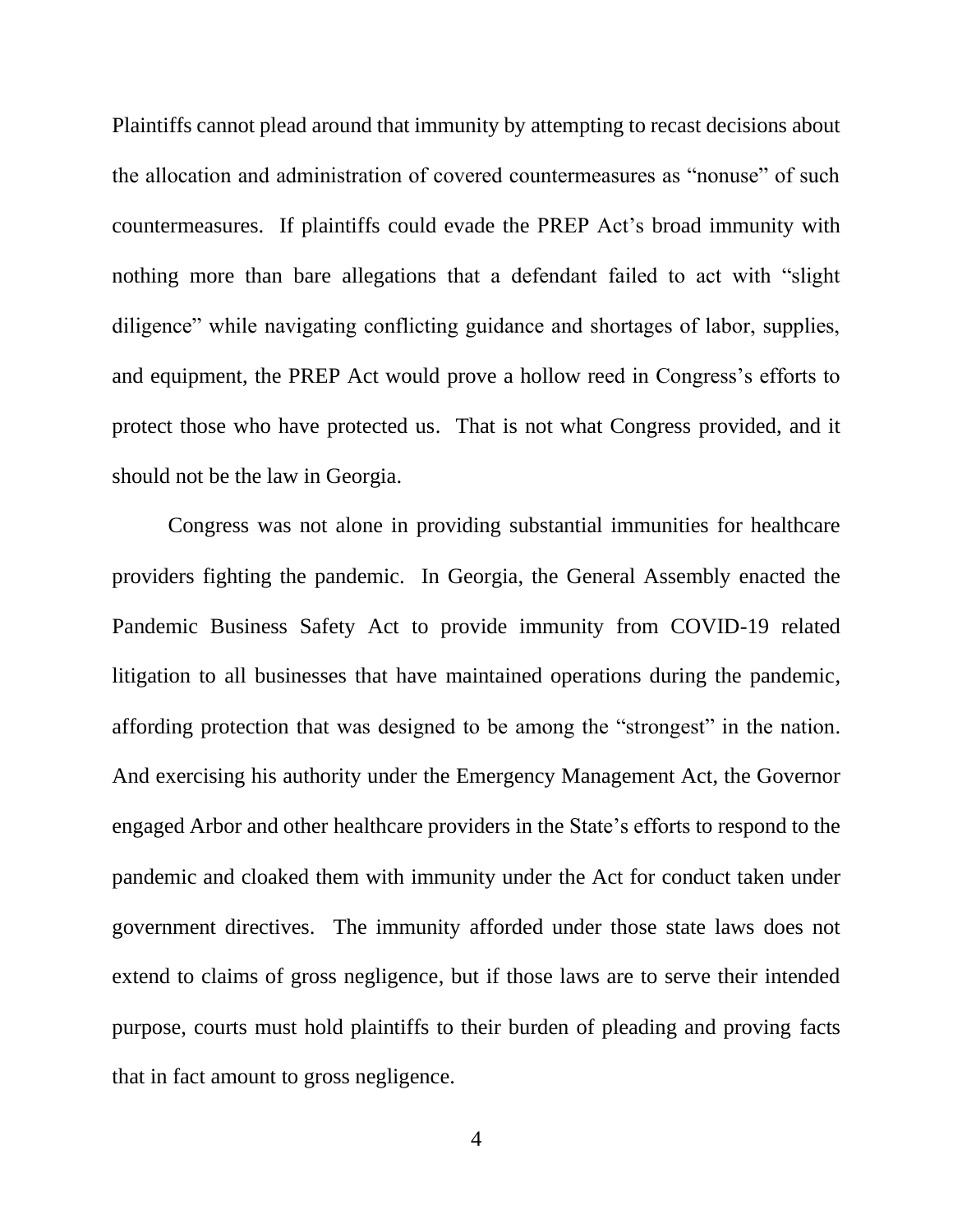Plaintiffs cannot plead around that immunity by attempting to recast decisions about the allocation and administration of covered countermeasures as "nonuse" of such countermeasures. If plaintiffs could evade the PREP Act's broad immunity with nothing more than bare allegations that a defendant failed to act with "slight diligence" while navigating conflicting guidance and shortages of labor, supplies, and equipment, the PREP Act would prove a hollow reed in Congress's efforts to protect those who have protected us. That is not what Congress provided, and it should not be the law in Georgia.

Congress was not alone in providing substantial immunities for healthcare providers fighting the pandemic. In Georgia, the General Assembly enacted the Pandemic Business Safety Act to provide immunity from COVID-19 related litigation to all businesses that have maintained operations during the pandemic, affording protection that was designed to be among the "strongest" in the nation. And exercising his authority under the Emergency Management Act, the Governor engaged Arbor and other healthcare providers in the State's efforts to respond to the pandemic and cloaked them with immunity under the Act for conduct taken under government directives. The immunity afforded under those state laws does not extend to claims of gross negligence, but if those laws are to serve their intended purpose, courts must hold plaintiffs to their burden of pleading and proving facts that in fact amount to gross negligence.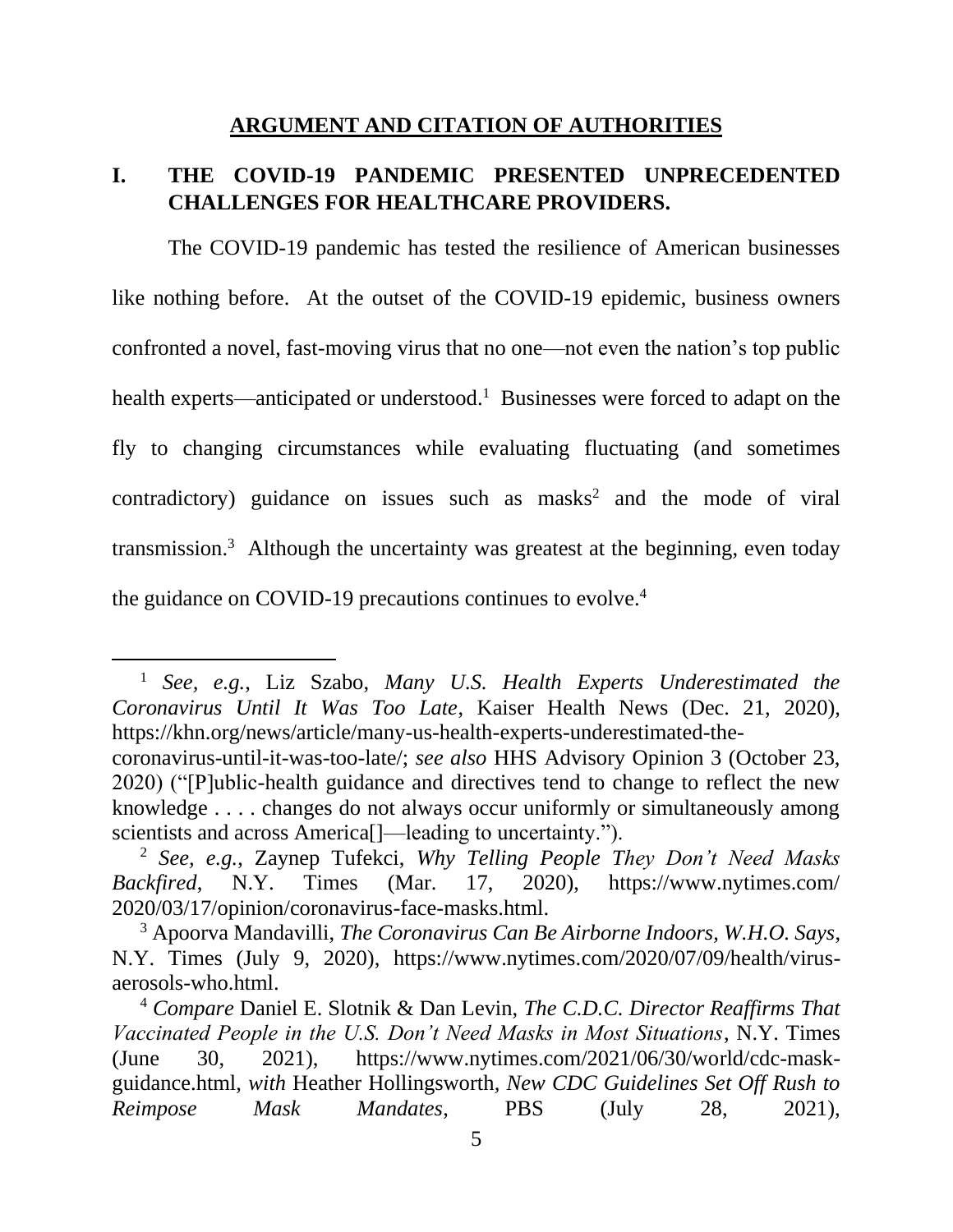#### **ARGUMENT AND CITATION OF AUTHORITIES**

# <span id="page-10-1"></span><span id="page-10-0"></span>**I. THE COVID-19 PANDEMIC PRESENTED UNPRECEDENTED CHALLENGES FOR HEALTHCARE PROVIDERS.**

The COVID-19 pandemic has tested the resilience of American businesses like nothing before. At the outset of the COVID-19 epidemic, business owners confronted a novel, fast-moving virus that no one—not even the nation's top public health experts—anticipated or understood.<sup>1</sup> Businesses were forced to adapt on the fly to changing circumstances while evaluating fluctuating (and sometimes contradictory) guidance on issues such as masks<sup>2</sup> and the mode of viral transmission. 3 Although the uncertainty was greatest at the beginning, even today the guidance on COVID-19 precautions continues to evolve. $4$ 

<span id="page-10-3"></span><sup>1</sup> *See, e.g.*, Liz Szabo, *Many U.S. Health Experts Underestimated the Coronavirus Until It Was Too Late*, Kaiser Health News (Dec. 21, 2020), https://khn.org/news/article/many-us-health-experts-underestimated-the-

<span id="page-10-6"></span>coronavirus-until-it-was-too-late/; *see also* HHS Advisory Opinion 3 (October 23, 2020) ("[P]ublic-health guidance and directives tend to change to reflect the new knowledge . . . . changes do not always occur uniformly or simultaneously among scientists and across America<sup>[]—leading</sup> to uncertainty.").

<span id="page-10-7"></span><sup>2</sup> *See, e.g.*, Zaynep Tufekci, *Why Telling People They Don't Need Masks Backfired*, N.Y. Times (Mar. 17, 2020), https://www.nytimes.com/ 2020/03/17/opinion/coronavirus-face-masks.html.

<span id="page-10-2"></span><sup>3</sup> Apoorva Mandavilli, *The Coronavirus Can Be Airborne Indoors, W.H.O. Says*, N.Y. Times (July 9, 2020), https://www.nytimes.com/2020/07/09/health/virusaerosols-who.html.

<span id="page-10-5"></span><span id="page-10-4"></span><sup>4</sup> *Compare* Daniel E. Slotnik & Dan Levin, *The C.D.C. Director Reaffirms That Vaccinated People in the U.S. Don't Need Masks in Most Situations*, N.Y. Times (June 30, 2021), https://www.nytimes.com/2021/06/30/world/cdc-maskguidance.html, *with* Heather Hollingsworth*, New CDC Guidelines Set Off Rush to Reimpose Mask Mandates*, PBS (July 28, 2021),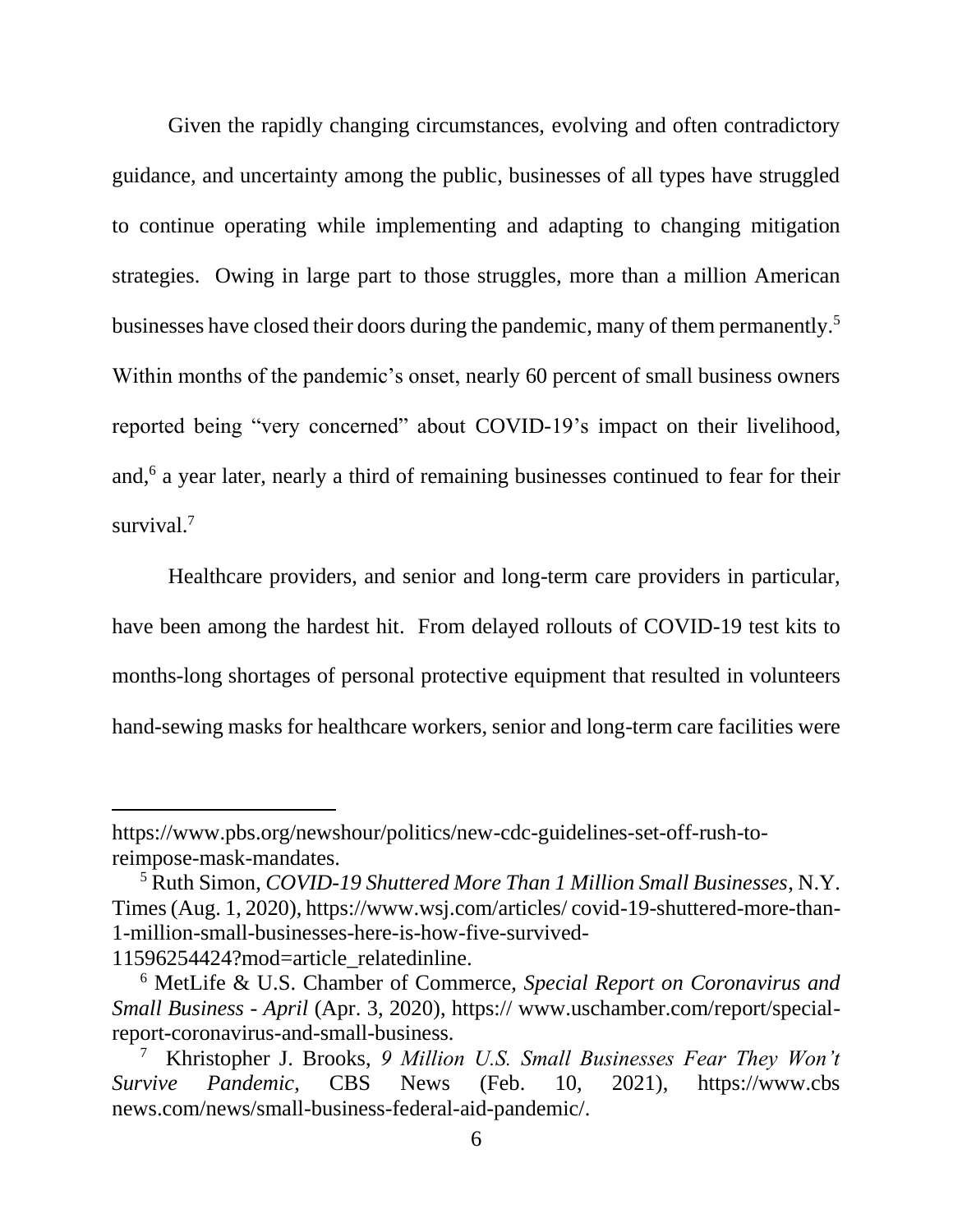Given the rapidly changing circumstances, evolving and often contradictory guidance, and uncertainty among the public, businesses of all types have struggled to continue operating while implementing and adapting to changing mitigation strategies. Owing in large part to those struggles, more than a million American businesses have closed their doors during the pandemic, many of them permanently.<sup>5</sup> Within months of the pandemic's onset, nearly 60 percent of small business owners reported being "very concerned" about COVID-19's impact on their livelihood, and,<sup>6</sup> a year later, nearly a third of remaining businesses continued to fear for their survival.<sup>7</sup>

Healthcare providers, and senior and long-term care providers in particular, have been among the hardest hit. From delayed rollouts of COVID-19 test kits to months-long shortages of personal protective equipment that resulted in volunteers hand-sewing masks for healthcare workers, senior and long-term care facilities were

https://www.pbs.org/newshour/politics/new-cdc-guidelines-set-off-rush-toreimpose-mask-mandates.

<span id="page-11-2"></span><sup>5</sup> Ruth Simon, *COVID-19 Shuttered More Than 1 Million Small Businesses*, N.Y. Times (Aug. 1, 2020), https://www.wsj.com/articles/ covid-19-shuttered-more-than-1-million-small-businesses-here-is-how-five-survived-11596254424?mod=article\_relatedinline.

<span id="page-11-0"></span><sup>6</sup> MetLife & U.S. Chamber of Commerce, *Special Report on Coronavirus and Small Business - April* (Apr. 3, 2020), https:// www.uschamber.com/report/specialreport-coronavirus-and-small-business.

<span id="page-11-1"></span><sup>7</sup> Khristopher J. Brooks, *9 Million U.S. Small Businesses Fear They Won't Survive Pandemic*, CBS News (Feb. 10, 2021), https://www.cbs news.com/news/small-business-federal-aid-pandemic/.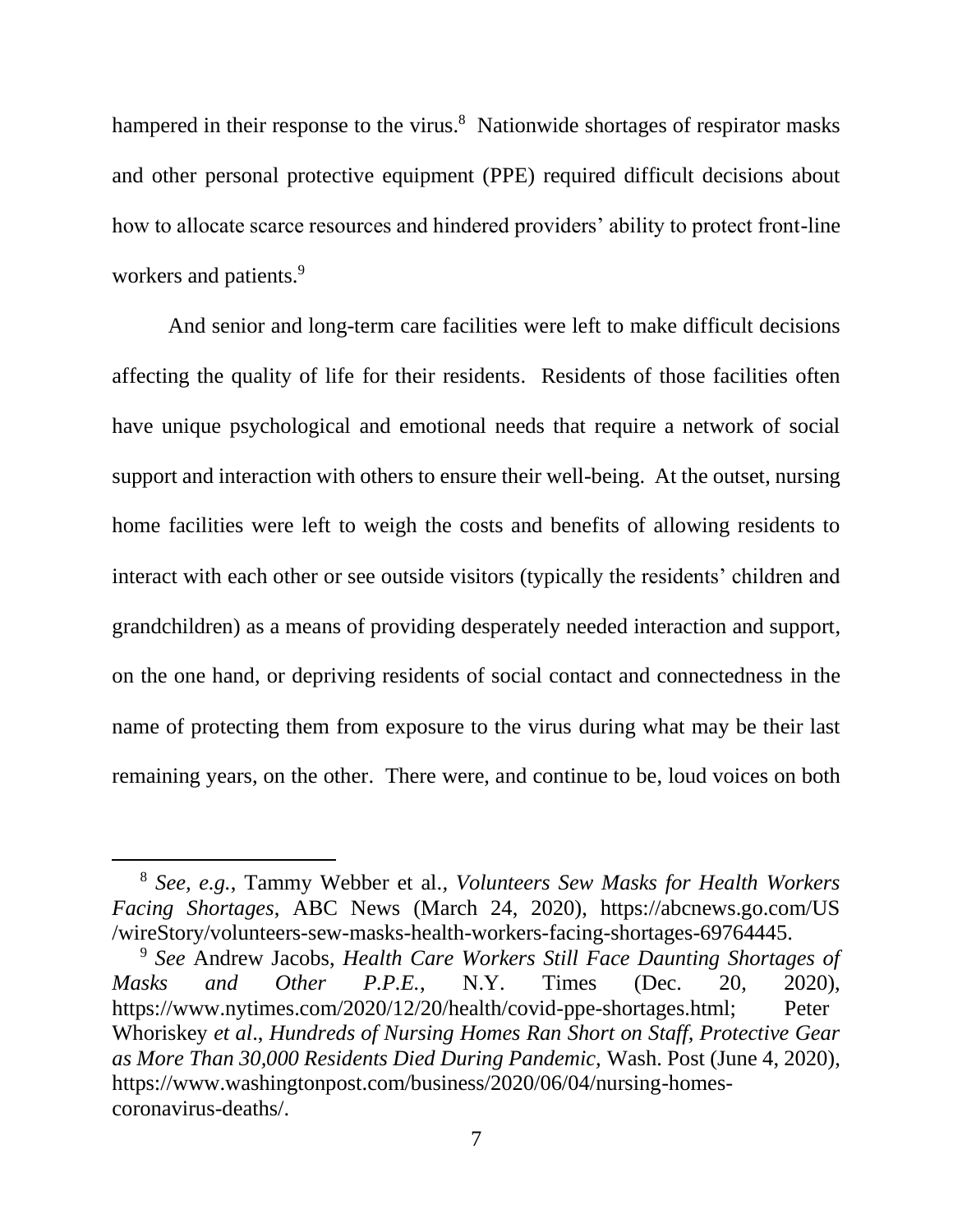hampered in their response to the virus.<sup>8</sup> Nationwide shortages of respirator masks and other personal protective equipment (PPE) required difficult decisions about how to allocate scarce resources and hindered providers' ability to protect front-line workers and patients.<sup>9</sup>

And senior and long-term care facilities were left to make difficult decisions affecting the quality of life for their residents. Residents of those facilities often have unique psychological and emotional needs that require a network of social support and interaction with others to ensure their well-being. At the outset, nursing home facilities were left to weigh the costs and benefits of allowing residents to interact with each other or see outside visitors (typically the residents' children and grandchildren) as a means of providing desperately needed interaction and support, on the one hand, or depriving residents of social contact and connectedness in the name of protecting them from exposure to the virus during what may be their last remaining years, on the other. There were, and continue to be, loud voices on both

<span id="page-12-2"></span><sup>8</sup> *See, e.g.*, Tammy Webber et al.*, Volunteers Sew Masks for Health Workers Facing Shortages*, ABC News (March 24, 2020), https://abcnews.go.com/US /wireStory/volunteers-sew-masks-health-workers-facing-shortages-69764445.

<span id="page-12-1"></span><span id="page-12-0"></span><sup>9</sup> *See* Andrew Jacobs, *Health Care Workers Still Face Daunting Shortages of Masks and Other P.P.E.*, N.Y. Times (Dec. 20, 2020), https://www.nytimes.com/2020/12/20/health/covid-ppe-shortages.html; Peter Whoriskey *et al*., *Hundreds of Nursing Homes Ran Short on Staff, Protective Gear as More Than 30,000 Residents Died During Pandemic,* Wash. Post (June 4, 2020), https://www.washingtonpost.com/business/2020/06/04/nursing-homescoronavirus-deaths/.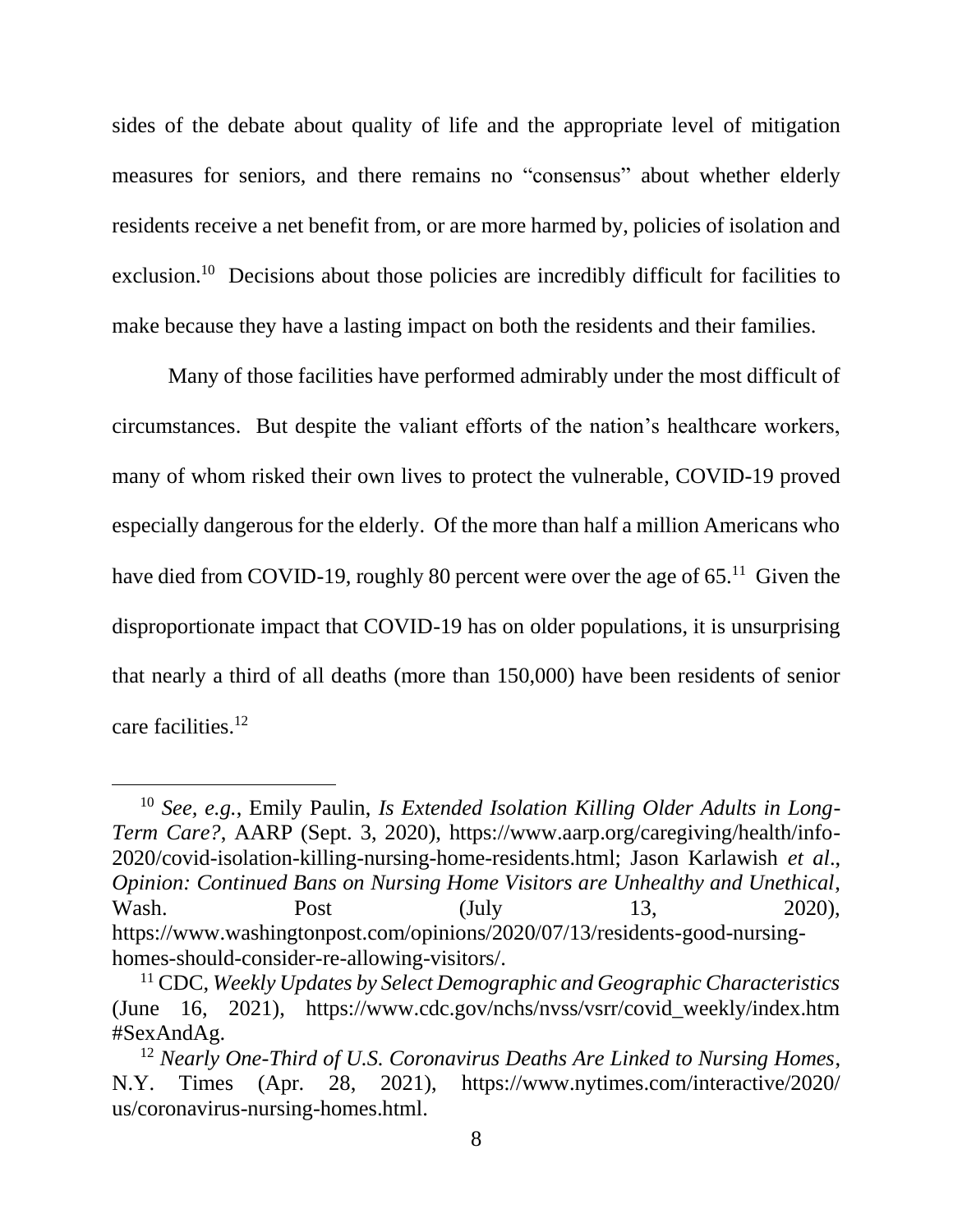sides of the debate about quality of life and the appropriate level of mitigation measures for seniors, and there remains no "consensus" about whether elderly residents receive a net benefit from, or are more harmed by, policies of isolation and exclusion.<sup>10</sup> Decisions about those policies are incredibly difficult for facilities to make because they have a lasting impact on both the residents and their families.

Many of those facilities have performed admirably under the most difficult of circumstances. But despite the valiant efforts of the nation's healthcare workers, many of whom risked their own lives to protect the vulnerable, COVID-19 proved especially dangerous for the elderly. Of the more than half a million Americans who have died from COVID-19, roughly 80 percent were over the age of  $65.^{11}$  Given the disproportionate impact that COVID-19 has on older populations, it is unsurprising that nearly a third of all deaths (more than 150,000) have been residents of senior care facilities. 12

<span id="page-13-2"></span><span id="page-13-1"></span><sup>10</sup> *See, e.g.*, Emily Paulin, *Is Extended Isolation Killing Older Adults in Long-Term Care?*, AARP (Sept. 3, 2020), https://www.aarp.org/caregiving/health/info-2020/covid-isolation-killing-nursing-home-residents.html; Jason Karlawish *et al*., *Opinion: Continued Bans on Nursing Home Visitors are Unhealthy and Unethical*, Wash. Post (July 13, 2020), https://www.washingtonpost.com/opinions/2020/07/13/residents-good-nursinghomes-should-consider-re-allowing-visitors/.

<span id="page-13-0"></span><sup>11</sup> CDC, *Weekly Updates by Select Demographic and Geographic Characteristics*  (June 16, 2021), https://www.cdc.gov/nchs/nvss/vsrr/covid\_weekly/index.htm #SexAndAg.

<span id="page-13-3"></span><sup>12</sup> *Nearly One-Third of U.S. Coronavirus Deaths Are Linked to Nursing Homes*, N.Y. Times (Apr. 28, 2021), https://www.nytimes.com/interactive/2020/ us/coronavirus-nursing-homes.html.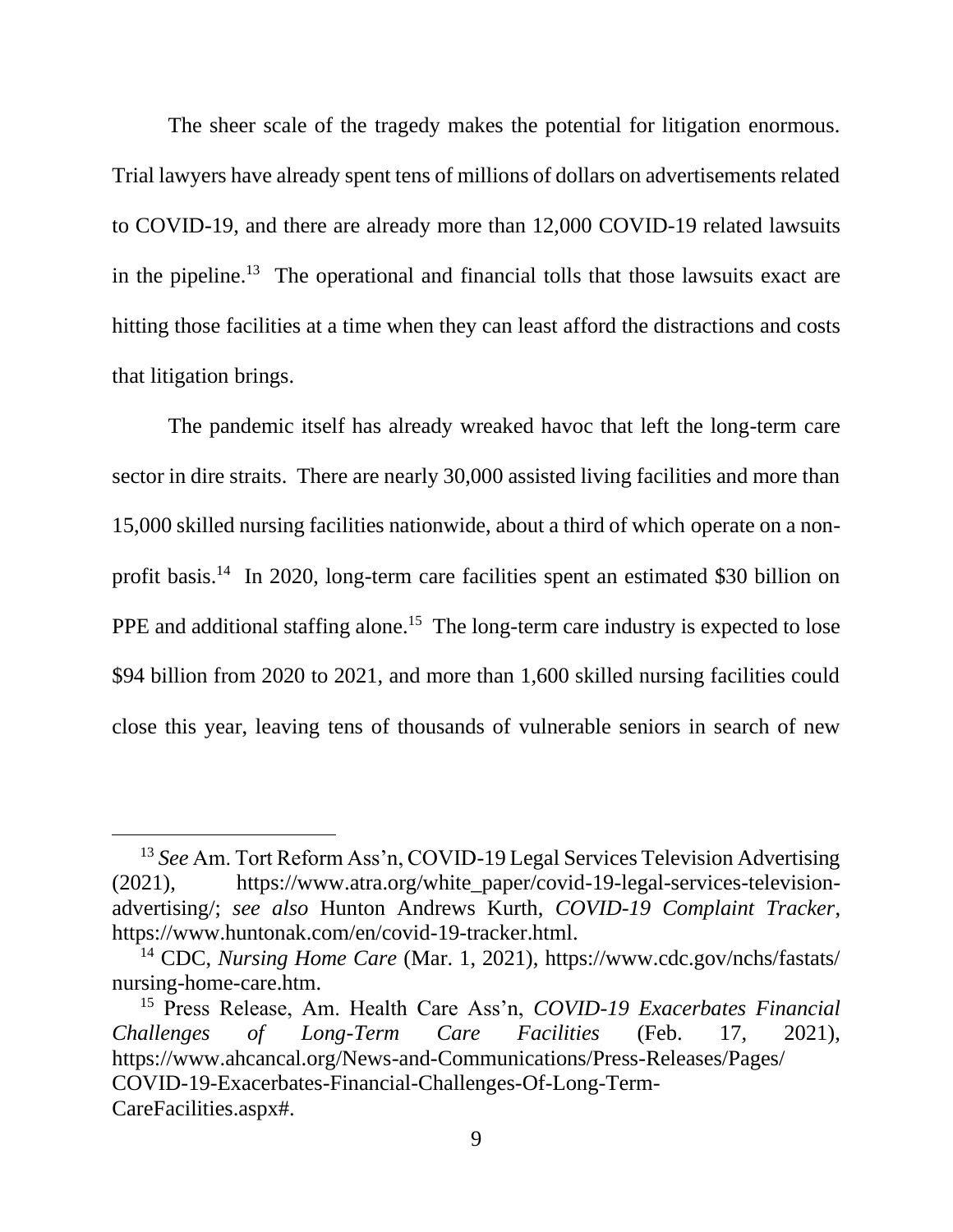The sheer scale of the tragedy makes the potential for litigation enormous. Trial lawyers have already spent tens of millions of dollars on advertisements related to COVID-19, and there are already more than 12,000 COVID-19 related lawsuits in the pipeline.<sup>13</sup> The operational and financial tolls that those lawsuits exact are hitting those facilities at a time when they can least afford the distractions and costs that litigation brings.

The pandemic itself has already wreaked havoc that left the long-term care sector in dire straits. There are nearly 30,000 assisted living facilities and more than 15,000 skilled nursing facilities nationwide, about a third of which operate on a nonprofit basis.<sup>14</sup> In 2020, long-term care facilities spent an estimated \$30 billion on PPE and additional staffing alone.<sup>15</sup> The long-term care industry is expected to lose \$94 billion from 2020 to 2021, and more than 1,600 skilled nursing facilities could close this year, leaving tens of thousands of vulnerable seniors in search of new

<span id="page-14-0"></span><sup>13</sup> *See* Am. Tort Reform Ass'n, COVID-19 Legal Services Television Advertising (2021), https://www.atra.org/white\_paper/covid-19-legal-services-televisionadvertising/; *see also* Hunton Andrews Kurth, *COVID-19 Complaint Tracker*, https://www.huntonak.com/en/covid-19-tracker.html.

<span id="page-14-2"></span><span id="page-14-1"></span><sup>14</sup> CDC, *Nursing Home Care* (Mar. 1, 2021), https://www.cdc.gov/nchs/fastats/ nursing-home-care.htm.

<span id="page-14-3"></span><sup>15</sup> Press Release, Am. Health Care Ass'n, *COVID-19 Exacerbates Financial Challenges of Long-Term Care Facilities* (Feb. 17, 2021), https://www.ahcancal.org/News-and-Communications/Press-Releases/Pages/ COVID-19-Exacerbates-Financial-Challenges-Of-Long-Term-CareFacilities.aspx#.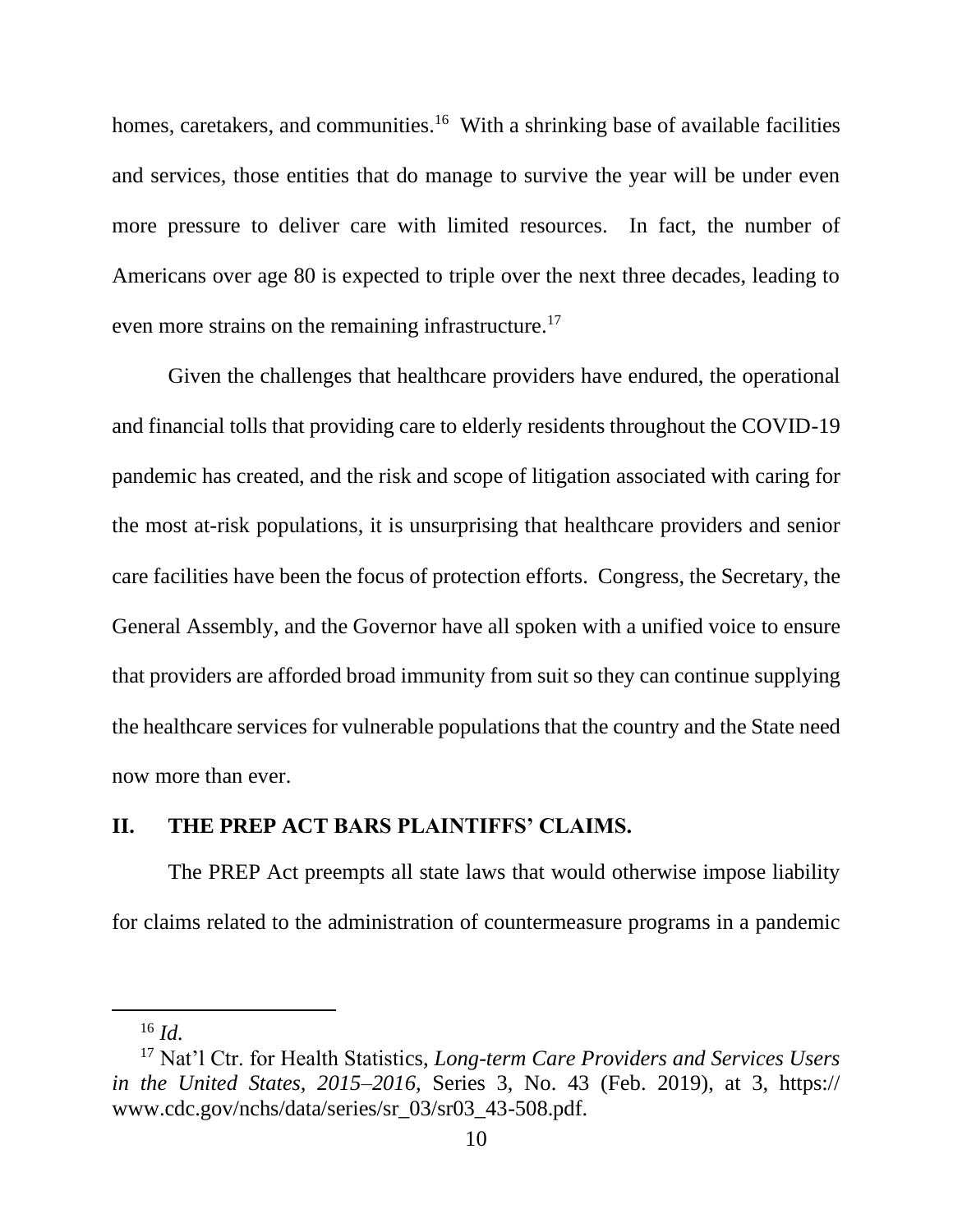homes, caretakers, and communities.<sup>16</sup> With a shrinking base of available facilities and services, those entities that do manage to survive the year will be under even more pressure to deliver care with limited resources. In fact, the number of Americans over age 80 is expected to triple over the next three decades, leading to even more strains on the remaining infrastructure.<sup>17</sup>

Given the challenges that healthcare providers have endured, the operational and financial tolls that providing care to elderly residents throughout the COVID-19 pandemic has created, and the risk and scope of litigation associated with caring for the most at-risk populations, it is unsurprising that healthcare providers and senior care facilities have been the focus of protection efforts. Congress, the Secretary, the General Assembly, and the Governor have all spoken with a unified voice to ensure that providers are afforded broad immunity from suit so they can continue supplying the healthcare services for vulnerable populations that the country and the State need now more than ever.

## <span id="page-15-0"></span>**II. THE PREP ACT BARS PLAINTIFFS' CLAIMS.**

The PREP Act preempts all state laws that would otherwise impose liability for claims related to the administration of countermeasure programs in a pandemic

<span id="page-15-1"></span><sup>16</sup> *Id.*

<sup>17</sup> Nat'l Ctr. for Health Statistics, *Long-term Care Providers and Services Users in the United States, 2015–2016*, Series 3, No. 43 (Feb. 2019), at 3, https:// www.cdc.gov/nchs/data/series/sr\_03/sr03\_43-508.pdf.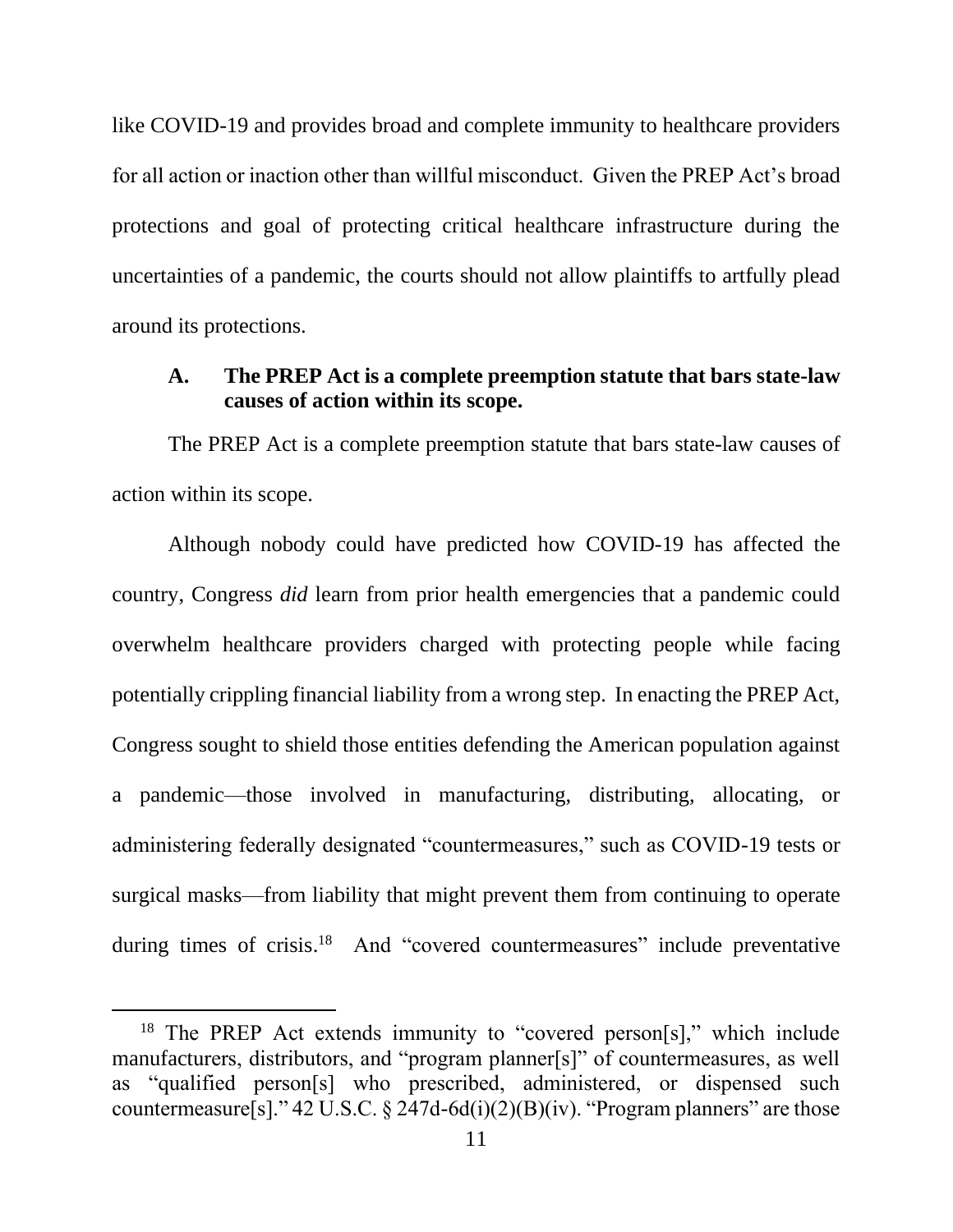like COVID-19 and provides broad and complete immunity to healthcare providers for all action or inaction other than willful misconduct. Given the PREP Act's broad protections and goal of protecting critical healthcare infrastructure during the uncertainties of a pandemic, the courts should not allow plaintiffs to artfully plead around its protections.

### <span id="page-16-0"></span>**A. The PREP Act is a complete preemption statute that bars state-law causes of action within its scope.**

The PREP Act is a complete preemption statute that bars state-law causes of action within its scope.

Although nobody could have predicted how COVID-19 has affected the country, Congress *did* learn from prior health emergencies that a pandemic could overwhelm healthcare providers charged with protecting people while facing potentially crippling financial liability from a wrong step. In enacting the PREP Act, Congress sought to shield those entities defending the American population against a pandemic—those involved in manufacturing, distributing, allocating, or administering federally designated "countermeasures," such as COVID-19 tests or surgical masks—from liability that might prevent them from continuing to operate during times of crisis.<sup>18</sup> And "covered countermeasures" include preventative

<sup>&</sup>lt;sup>18</sup> The PREP Act extends immunity to "covered person[s]," which include manufacturers, distributors, and "program planner[s]" of countermeasures, as well as "qualified person[s] who prescribed, administered, or dispensed such countermeasure[s]." 42 U.S.C. § 247d-6d(i)(2)(B)(iv). "Program planners" are those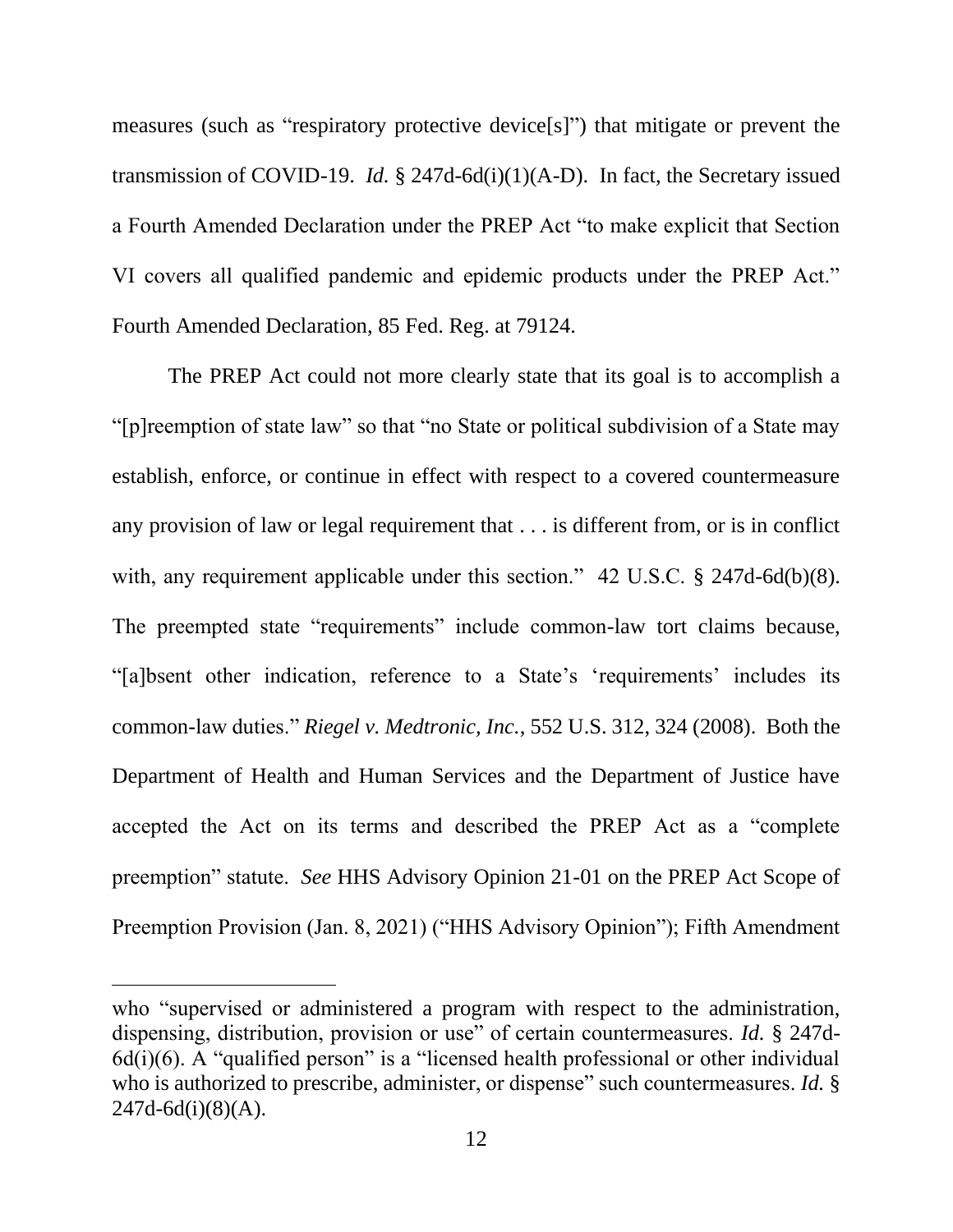measures (such as "respiratory protective device[s]") that mitigate or prevent the transmission of COVID-19. *Id.* § 247d-6d(i)(1)(A-D). In fact, the Secretary issued a Fourth Amended Declaration under the PREP Act "to make explicit that Section VI covers all qualified pandemic and epidemic products under the PREP Act." Fourth Amended Declaration, 85 Fed. Reg. at 79124.

<span id="page-17-2"></span><span id="page-17-1"></span>The PREP Act could not more clearly state that its goal is to accomplish a "[p]reemption of state law" so that "no State or political subdivision of a State may establish, enforce, or continue in effect with respect to a covered countermeasure any provision of law or legal requirement that . . . is different from, or is in conflict with, any requirement applicable under this section." 42 U.S.C. § 247d-6d(b)(8). The preempted state "requirements" include common-law tort claims because, "[a]bsent other indication, reference to a State's 'requirements' includes its common-law duties." *Riegel v. Medtronic, Inc.*, 552 U.S. 312, 324 (2008). Both the Department of Health and Human Services and the Department of Justice have accepted the Act on its terms and described the PREP Act as a "complete preemption" statute. *See* HHS Advisory Opinion 21-01 on the PREP Act Scope of Preemption Provision (Jan. 8, 2021) ("HHS Advisory Opinion"); Fifth Amendment

<span id="page-17-3"></span><span id="page-17-0"></span>who "supervised or administered a program with respect to the administration, dispensing, distribution, provision or use" of certain countermeasures. *Id.* § 247d- $6d(i)(6)$ . A "qualified person" is a "licensed health professional or other individual who is authorized to prescribe, administer, or dispense" such countermeasures. *Id.* §  $247d - 6d(i)(8)(A)$ .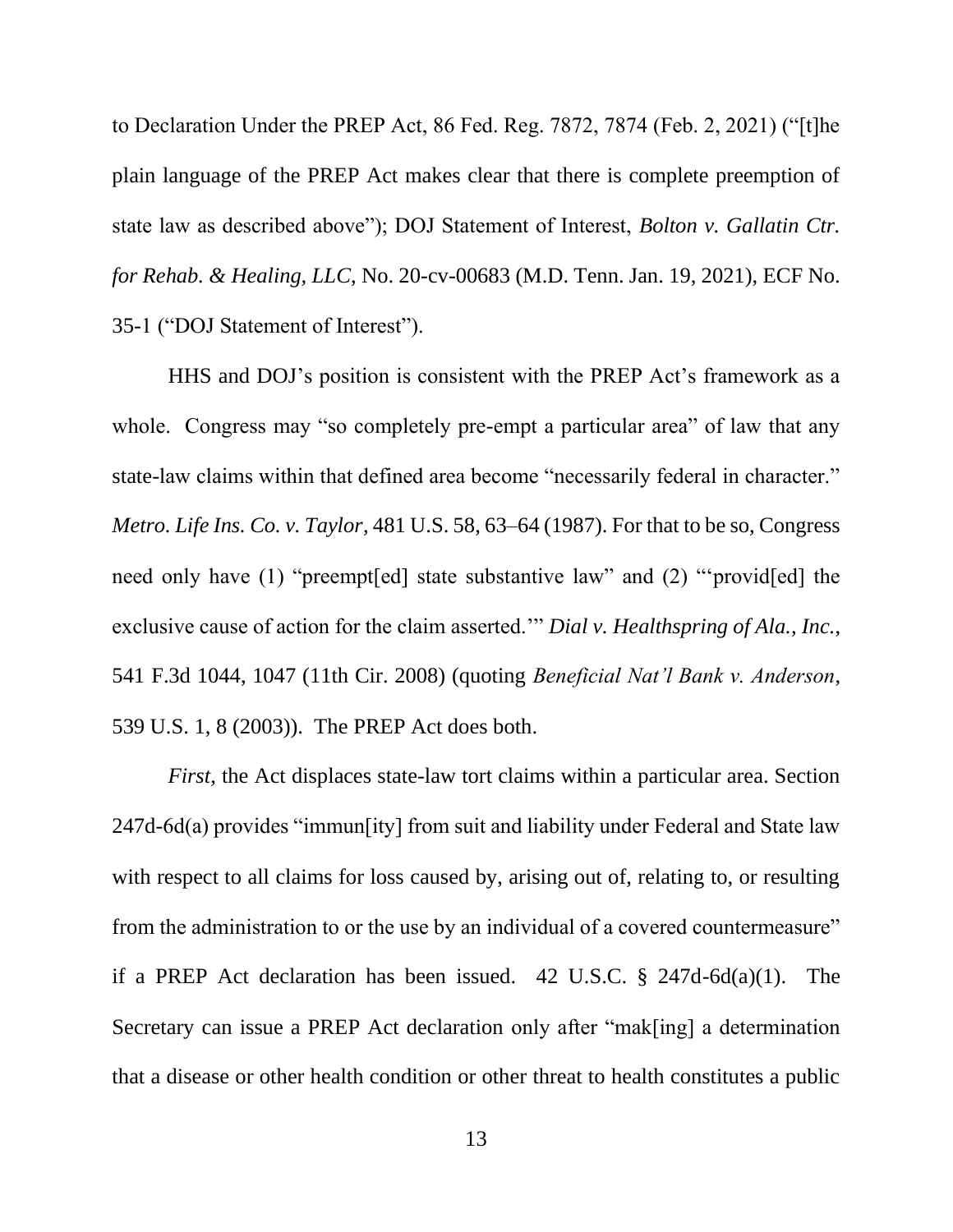<span id="page-18-4"></span><span id="page-18-1"></span>to Declaration Under the PREP Act, 86 Fed. Reg. 7872, 7874 (Feb. 2, 2021) ("[t]he plain language of the PREP Act makes clear that there is complete preemption of state law as described above"); DOJ Statement of Interest, *Bolton v. Gallatin Ctr. for Rehab. & Healing, LLC*, No. 20-cv-00683 (M.D. Tenn. Jan. 19, 2021), ECF No. 35-1 ("DOJ Statement of Interest").

<span id="page-18-3"></span>HHS and DOJ's position is consistent with the PREP Act's framework as a whole. Congress may "so completely pre-empt a particular area" of law that any state-law claims within that defined area become "necessarily federal in character." *Metro. Life Ins. Co. v. Taylor*, 481 U.S. 58, 63–64 (1987). For that to be so, Congress need only have (1) "preempt[ed] state substantive law" and (2) "'provid[ed] the exclusive cause of action for the claim asserted.'" *Dial v. Healthspring of Ala., Inc.*, 541 F.3d 1044, 1047 (11th Cir. 2008) (quoting *Beneficial Nat'l Bank v. Anderson*, 539 U.S. 1, 8 (2003)). The PREP Act does both.

<span id="page-18-2"></span><span id="page-18-0"></span>*First*, the Act displaces state-law tort claims within a particular area. Section 247d-6d(a) provides "immun[ity] from suit and liability under Federal and State law with respect to all claims for loss caused by, arising out of, relating to, or resulting from the administration to or the use by an individual of a covered countermeasure" if a PREP Act declaration has been issued. 42 U.S.C. § 247d-6d(a)(1). The Secretary can issue a PREP Act declaration only after "mak[ing] a determination that a disease or other health condition or other threat to health constitutes a public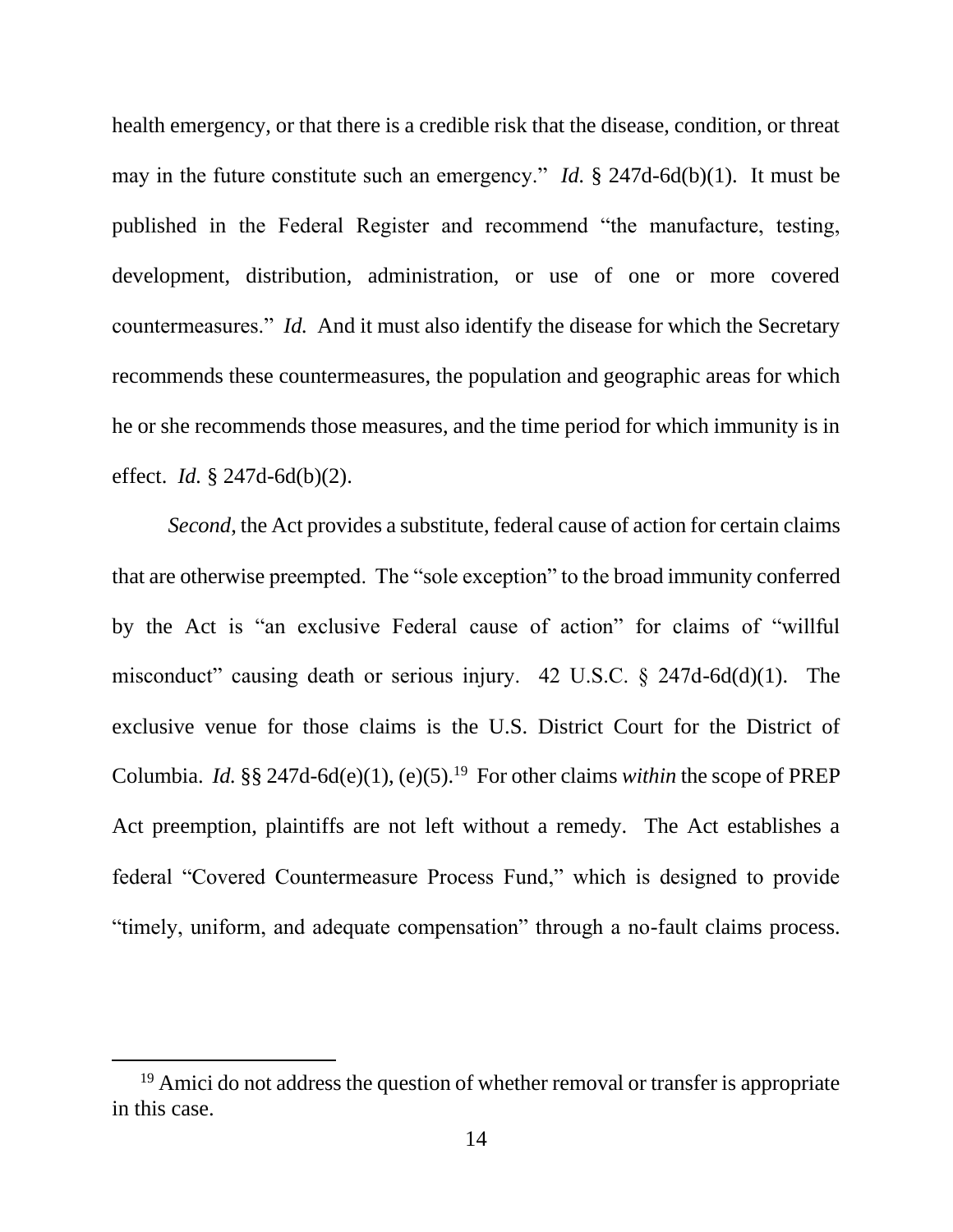health emergency, or that there is a credible risk that the disease, condition, or threat may in the future constitute such an emergency." *Id.* § 247d-6d(b)(1). It must be published in the Federal Register and recommend "the manufacture, testing, development, distribution, administration, or use of one or more covered countermeasures." *Id.* And it must also identify the disease for which the Secretary recommends these countermeasures, the population and geographic areas for which he or she recommends those measures, and the time period for which immunity is in effect. *Id.* § 247d-6d(b)(2).

*Second*, the Act provides a substitute, federal cause of action for certain claims that are otherwise preempted. The "sole exception" to the broad immunity conferred by the Act is "an exclusive Federal cause of action" for claims of "willful misconduct" causing death or serious injury. 42 U.S.C. § 247d-6d(d)(1). The exclusive venue for those claims is the U.S. District Court for the District of Columbia. *Id.*  $\S\S 247d-6d(e)(1)$ , (e)(5).<sup>19</sup> For other claims *within* the scope of PREP Act preemption, plaintiffs are not left without a remedy. The Act establishes a federal "Covered Countermeasure Process Fund," which is designed to provide "timely, uniform, and adequate compensation" through a no-fault claims process.

<sup>&</sup>lt;sup>19</sup> Amici do not address the question of whether removal or transfer is appropriate in this case.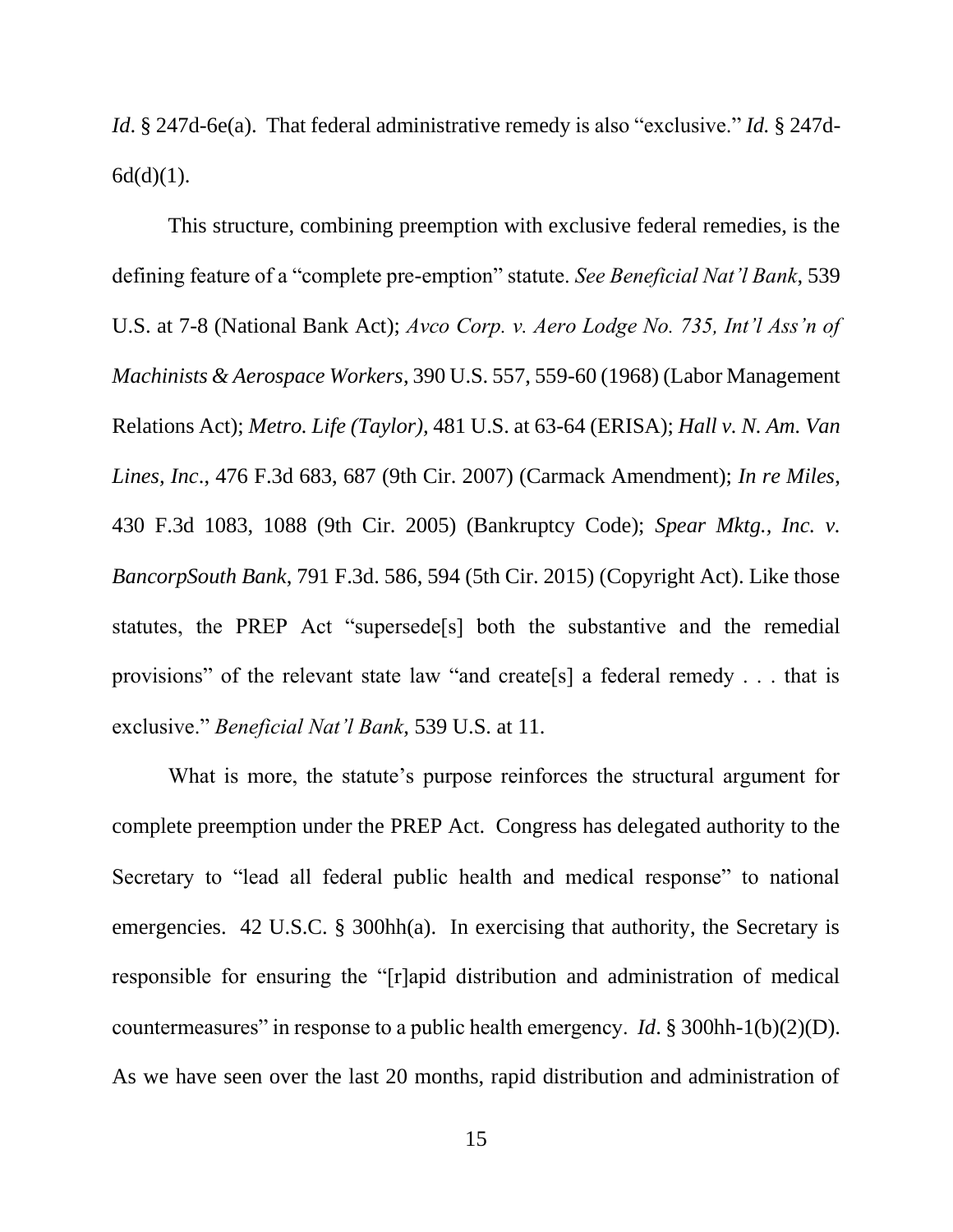*Id*. § 247d-6e(a). That federal administrative remedy is also "exclusive." *Id.* § 247d- $6d(d)(1)$ .

<span id="page-20-5"></span><span id="page-20-4"></span><span id="page-20-3"></span><span id="page-20-2"></span><span id="page-20-1"></span><span id="page-20-0"></span>This structure, combining preemption with exclusive federal remedies, is the defining feature of a "complete pre-emption" statute. *See Beneficial Nat'l Bank*, 539 U.S. at 7-8 (National Bank Act); *Avco Corp. v. Aero Lodge No. 735, Int'l Ass'n of Machinists & Aerospace Workers*, 390 U.S. 557, 559-60 (1968) (Labor Management Relations Act); *Metro. Life (Taylor),* 481 U.S. at 63-64 (ERISA); *Hall v. N. Am. Van Lines, Inc*., 476 F.3d 683, 687 (9th Cir. 2007) (Carmack Amendment); *In re Miles*, 430 F.3d 1083, 1088 (9th Cir. 2005) (Bankruptcy Code); *Spear Mktg., Inc. v. BancorpSouth Bank*, 791 F.3d. 586, 594 (5th Cir. 2015) (Copyright Act). Like those statutes, the PREP Act "supersede[s] both the substantive and the remedial provisions" of the relevant state law "and create[s] a federal remedy . . . that is exclusive." *Beneficial Nat'l Bank*, 539 U.S. at 11.

<span id="page-20-7"></span><span id="page-20-6"></span>What is more, the statute's purpose reinforces the structural argument for complete preemption under the PREP Act. Congress has delegated authority to the Secretary to "lead all federal public health and medical response" to national emergencies. 42 U.S.C. § 300hh(a). In exercising that authority, the Secretary is responsible for ensuring the "[r]apid distribution and administration of medical countermeasures" in response to a public health emergency. *Id*. § 300hh-1(b)(2)(D). As we have seen over the last 20 months, rapid distribution and administration of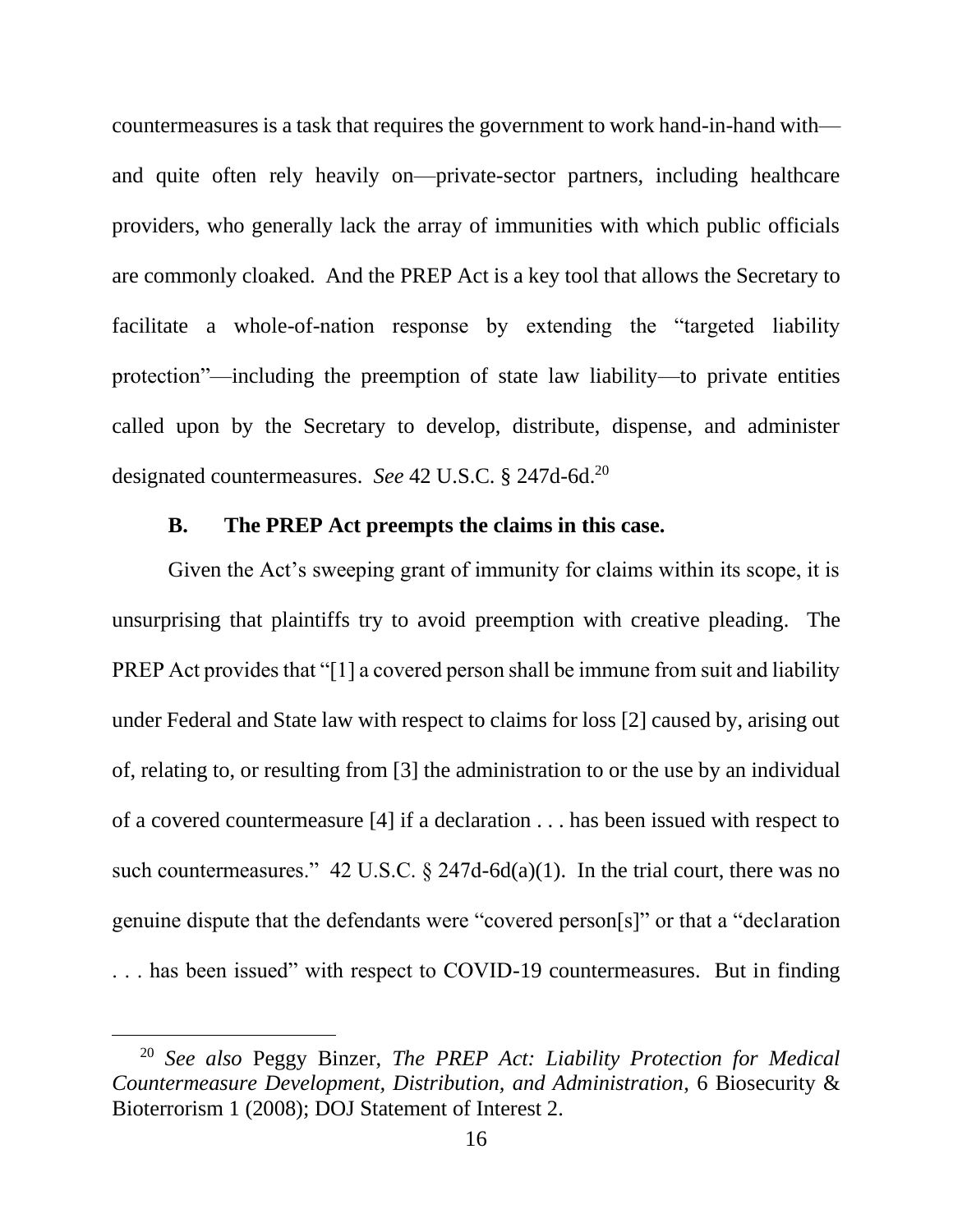countermeasures is a task that requires the government to work hand-in-hand with and quite often rely heavily on—private-sector partners, including healthcare providers, who generally lack the array of immunities with which public officials are commonly cloaked. And the PREP Act is a key tool that allows the Secretary to facilitate a whole-of-nation response by extending the "targeted liability protection"—including the preemption of state law liability—to private entities called upon by the Secretary to develop, distribute, dispense, and administer designated countermeasures. *See* 42 U.S.C. § 247d-6d.<sup>20</sup>

### **B. The PREP Act preempts the claims in this case.**

<span id="page-21-0"></span>Given the Act's sweeping grant of immunity for claims within its scope, it is unsurprising that plaintiffs try to avoid preemption with creative pleading. The PREP Act provides that "[1] a covered person shall be immune from suit and liability under Federal and State law with respect to claims for loss [2] caused by, arising out of, relating to, or resulting from [3] the administration to or the use by an individual of a covered countermeasure [4] if a declaration . . . has been issued with respect to such countermeasures." 42 U.S.C.  $\S$  247d-6d(a)(1). In the trial court, there was no genuine dispute that the defendants were "covered person[s]" or that a "declaration . . . has been issued" with respect to COVID-19 countermeasures. But in finding

<sup>20</sup> *See also* Peggy Binzer, *The PREP Act: Liability Protection for Medical Countermeasure Development, Distribution, and Administration*, 6 Biosecurity & Bioterrorism 1 (2008); DOJ Statement of Interest 2.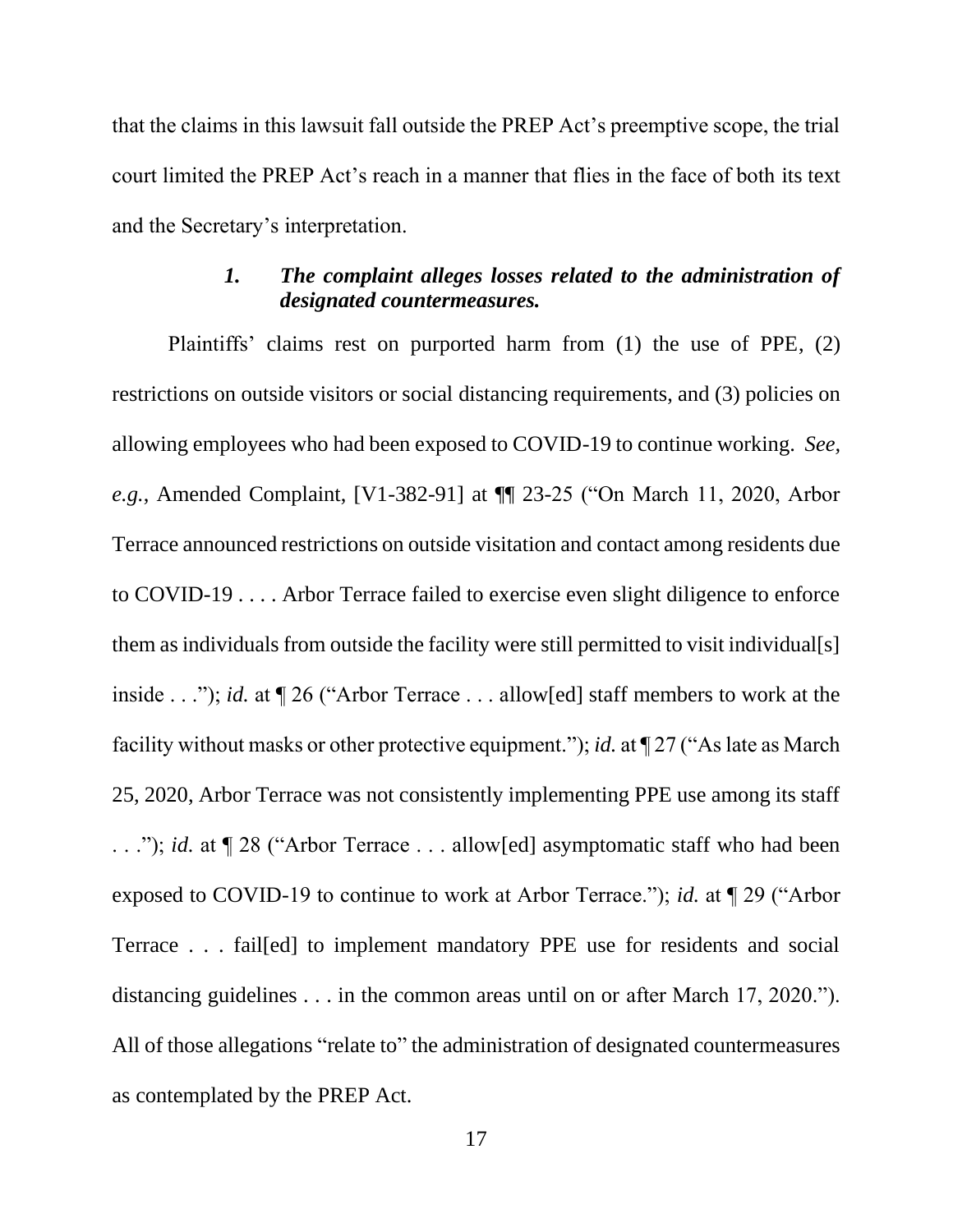that the claims in this lawsuit fall outside the PREP Act's preemptive scope, the trial court limited the PREP Act's reach in a manner that flies in the face of both its text and the Secretary's interpretation.

# *1. The complaint alleges losses related to the administration of designated countermeasures.*

<span id="page-22-0"></span>Plaintiffs' claims rest on purported harm from (1) the use of PPE, (2) restrictions on outside visitors or social distancing requirements, and (3) policies on allowing employees who had been exposed to COVID-19 to continue working. *See, e.g.*, Amended Complaint, [V1-382-91] at ¶¶ 23-25 ("On March 11, 2020, Arbor Terrace announced restrictions on outside visitation and contact among residents due to COVID-19 . . . . Arbor Terrace failed to exercise even slight diligence to enforce them as individuals from outside the facility were still permitted to visit individual[s] inside . . ."); *id.* at ¶ 26 ("Arbor Terrace . . . allow[ed] staff members to work at the facility without masks or other protective equipment."); *id.* at ¶ 27 ("As late as March 25, 2020, Arbor Terrace was not consistently implementing PPE use among its staff . . ."); *id.* at ¶ 28 ("Arbor Terrace . . . allow[ed] asymptomatic staff who had been exposed to COVID-19 to continue to work at Arbor Terrace."); *id.* at ¶ 29 ("Arbor Terrace . . . fail[ed] to implement mandatory PPE use for residents and social distancing guidelines . . . in the common areas until on or after March 17, 2020."). All of those allegations "relate to" the administration of designated countermeasures as contemplated by the PREP Act.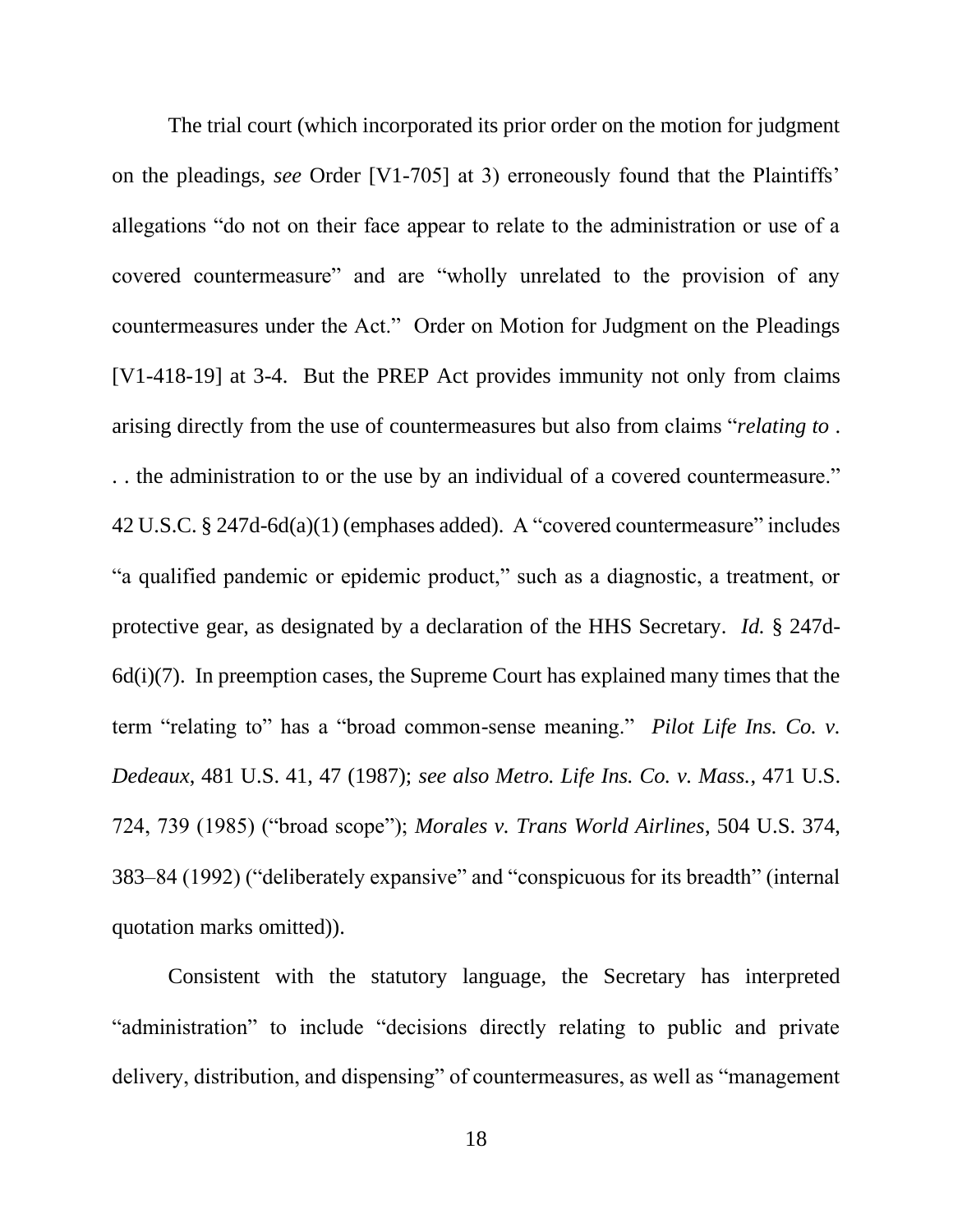The trial court (which incorporated its prior order on the motion for judgment on the pleadings, *see* Order [V1-705] at 3) erroneously found that the Plaintiffs' allegations "do not on their face appear to relate to the administration or use of a covered countermeasure" and are "wholly unrelated to the provision of any countermeasures under the Act." Order on Motion for Judgment on the Pleadings [V1-418-19] at 3-4. But the PREP Act provides immunity not only from claims arising directly from the use of countermeasures but also from claims "*relating to* . . . the administration to or the use by an individual of a covered countermeasure." 42 U.S.C. § 247d-6d(a)(1) (emphases added). A "covered countermeasure" includes "a qualified pandemic or epidemic product," such as a diagnostic, a treatment, or protective gear, as designated by a declaration of the HHS Secretary. *Id.* § 247d- $6d(i)(7)$ . In preemption cases, the Supreme Court has explained many times that the term "relating to" has a "broad common-sense meaning." *Pilot Life Ins. Co. v. Dedeaux*, 481 U.S. 41, 47 (1987); *see also Metro. Life Ins. Co. v. Mass.*, 471 U.S. 724, 739 (1985) ("broad scope"); *Morales v. Trans World Airlines*, 504 U.S. 374, 383–84 (1992) ("deliberately expansive" and "conspicuous for its breadth" (internal quotation marks omitted)).

<span id="page-23-2"></span><span id="page-23-1"></span><span id="page-23-0"></span>Consistent with the statutory language, the Secretary has interpreted "administration" to include "decisions directly relating to public and private delivery, distribution, and dispensing" of countermeasures, as well as "management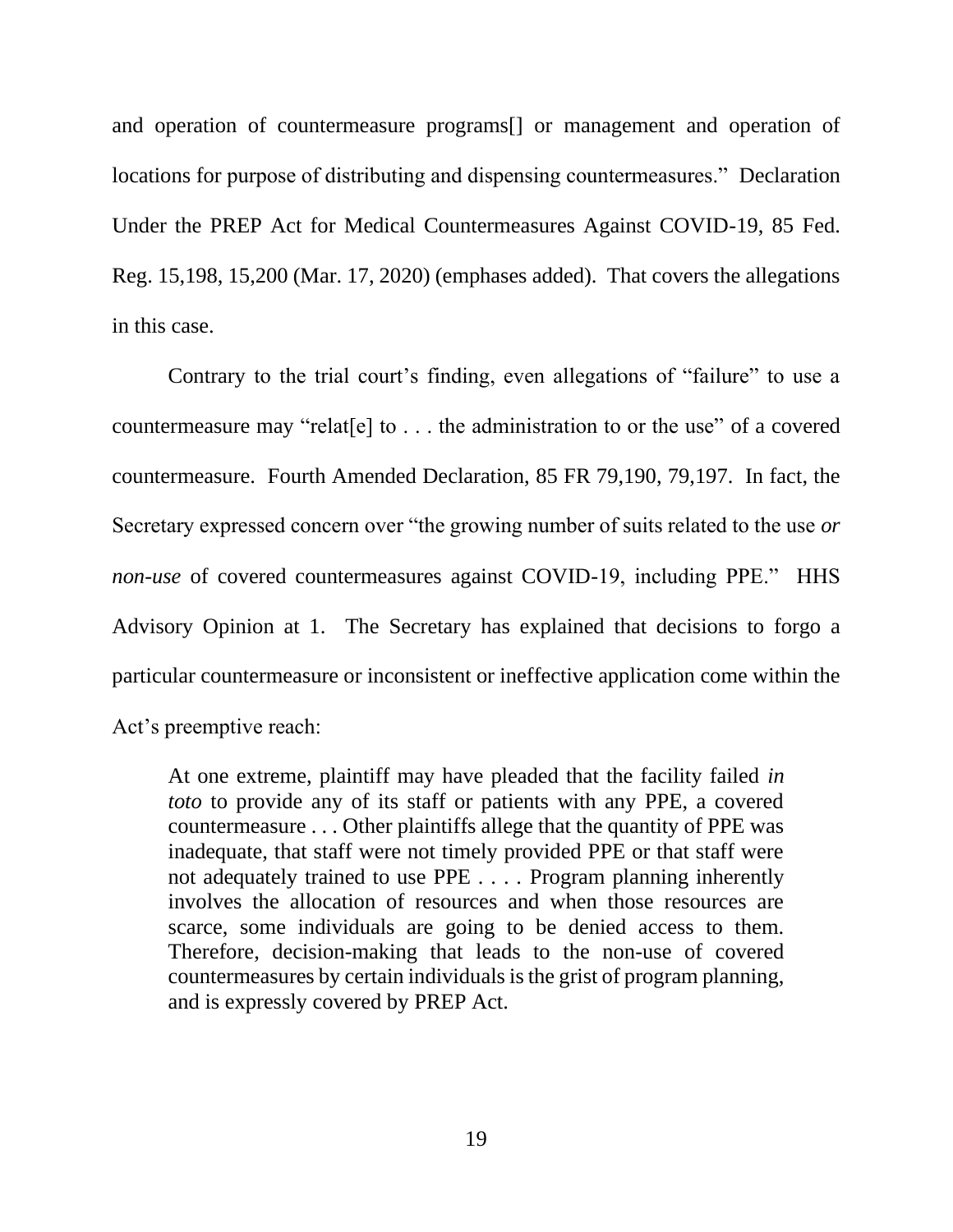<span id="page-24-0"></span>and operation of countermeasure programs[] or management and operation of locations for purpose of distributing and dispensing countermeasures." Declaration Under the PREP Act for Medical Countermeasures Against COVID-19, 85 Fed. Reg. 15,198, 15,200 (Mar. 17, 2020) (emphases added). That covers the allegations in this case.

Contrary to the trial court's finding, even allegations of "failure" to use a countermeasure may "relat[e] to . . . the administration to or the use" of a covered countermeasure. Fourth Amended Declaration, 85 FR 79,190, 79,197. In fact, the Secretary expressed concern over "the growing number of suits related to the use *or non-use* of covered countermeasures against COVID-19, including PPE." HHS Advisory Opinion at 1. The Secretary has explained that decisions to forgo a particular countermeasure or inconsistent or ineffective application come within the Act's preemptive reach:

At one extreme, plaintiff may have pleaded that the facility failed *in toto* to provide any of its staff or patients with any PPE, a covered countermeasure . . . Other plaintiffs allege that the quantity of PPE was inadequate, that staff were not timely provided PPE or that staff were not adequately trained to use PPE . . . . Program planning inherently involves the allocation of resources and when those resources are scarce, some individuals are going to be denied access to them. Therefore, decision-making that leads to the non-use of covered countermeasures by certain individuals is the grist of program planning, and is expressly covered by PREP Act.

19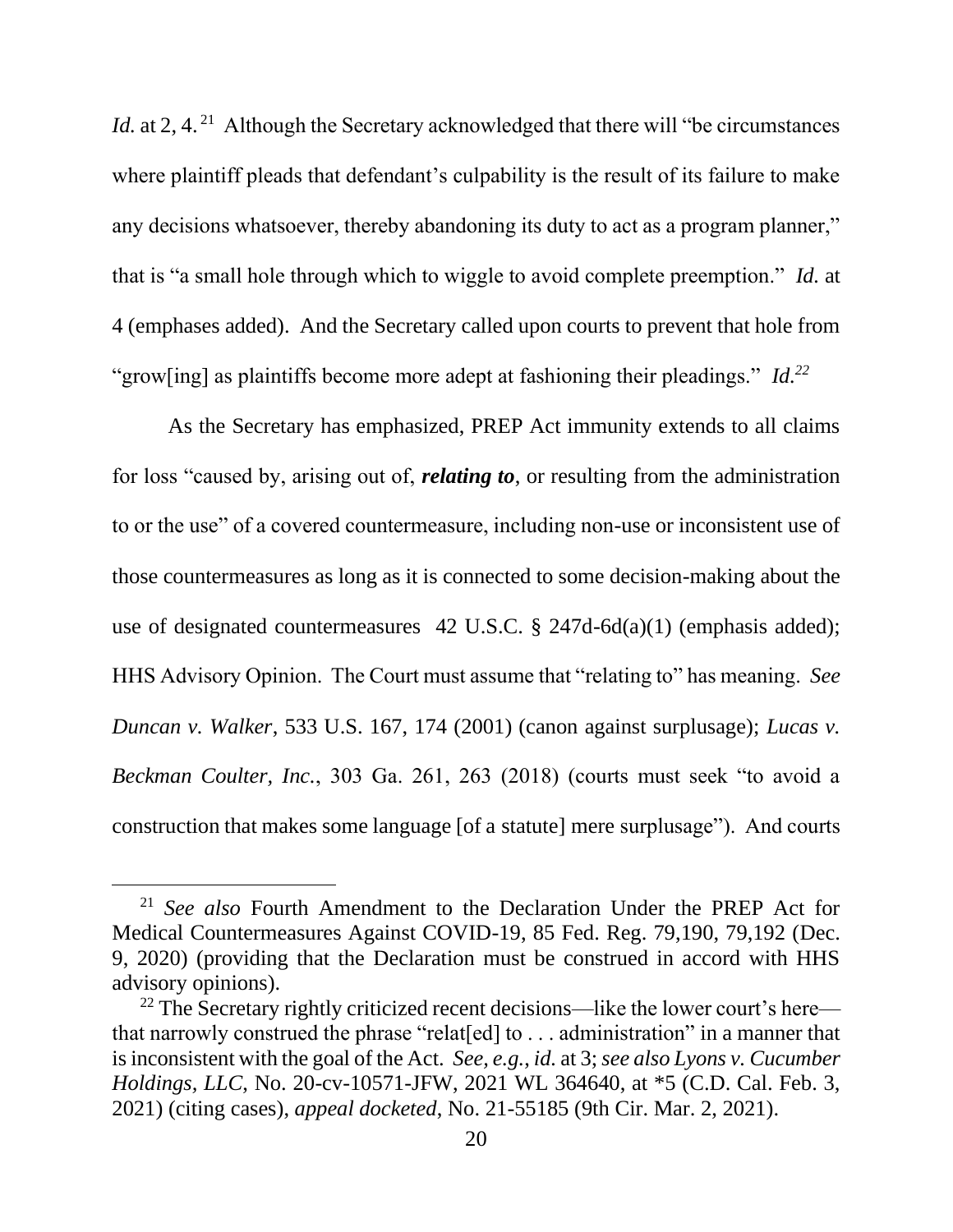*Id.* at 2, 4.<sup>21</sup> Although the Secretary acknowledged that there will "be circumstances" where plaintiff pleads that defendant's culpability is the result of its failure to make any decisions whatsoever, thereby abandoning its duty to act as a program planner," that is "a small hole through which to wiggle to avoid complete preemption." *Id.* at 4 (emphases added). And the Secretary called upon courts to prevent that hole from "grow[ing] as plaintiffs become more adept at fashioning their pleadings." *Id.<sup>22</sup>*

As the Secretary has emphasized, PREP Act immunity extends to all claims for loss "caused by, arising out of, *relating to*, or resulting from the administration to or the use" of a covered countermeasure, including non-use or inconsistent use of those countermeasures as long as it is connected to some decision-making about the use of designated countermeasures 42 U.S.C. § 247d-6d(a)(1) (emphasis added); HHS Advisory Opinion. The Court must assume that "relating to" has meaning. *See Duncan v. Walker*, 533 U.S. 167, 174 (2001) (canon against surplusage); *Lucas v. Beckman Coulter, Inc.*, 303 Ga. 261, 263 (2018) (courts must seek "to avoid a construction that makes some language [of a statute] mere surplusage"). And courts

<span id="page-25-3"></span><span id="page-25-1"></span><span id="page-25-0"></span><sup>21</sup> *See also* Fourth Amendment to the Declaration Under the PREP Act for Medical Countermeasures Against COVID-19, 85 Fed. Reg. 79,190, 79,192 (Dec. 9, 2020) (providing that the Declaration must be construed in accord with HHS advisory opinions).

<span id="page-25-2"></span><sup>&</sup>lt;sup>22</sup> The Secretary rightly criticized recent decisions—like the lower court's here that narrowly construed the phrase "relat[ed] to . . . administration" in a manner that is inconsistent with the goal of the Act. *See, e.g.*, *id.* at 3; *see also Lyons v. Cucumber Holdings, LLC*, No. 20-cv-10571-JFW, 2021 WL 364640, at \*5 (C.D. Cal. Feb. 3, 2021) (citing cases), *appeal docketed*, No. 21-55185 (9th Cir. Mar. 2, 2021).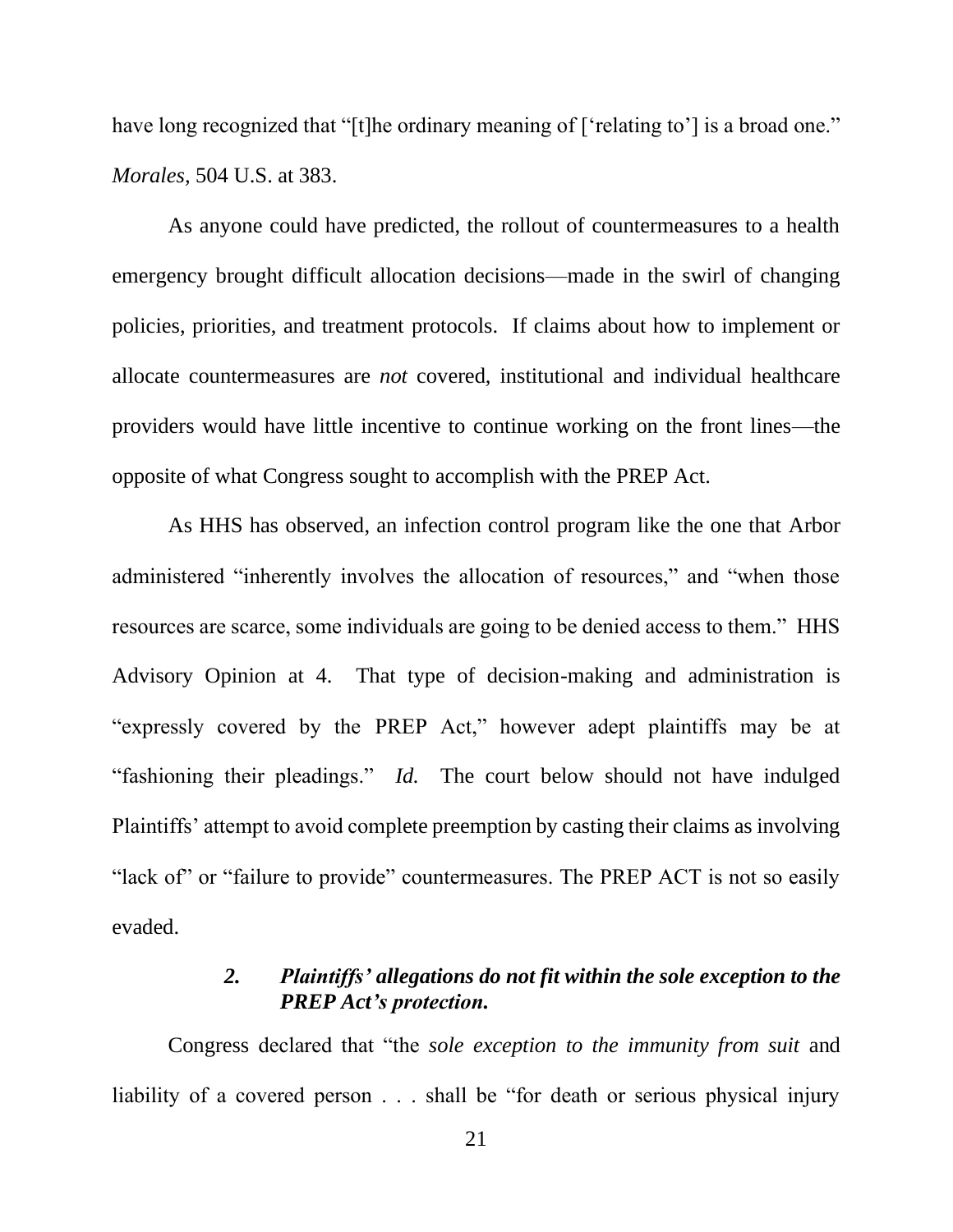<span id="page-26-1"></span>have long recognized that "[t]he ordinary meaning of ['relating to'] is a broad one." *Morales,* 504 U.S. at 383.

As anyone could have predicted, the rollout of countermeasures to a health emergency brought difficult allocation decisions—made in the swirl of changing policies, priorities, and treatment protocols. If claims about how to implement or allocate countermeasures are *not* covered, institutional and individual healthcare providers would have little incentive to continue working on the front lines—the opposite of what Congress sought to accomplish with the PREP Act.

As HHS has observed, an infection control program like the one that Arbor administered "inherently involves the allocation of resources," and "when those resources are scarce, some individuals are going to be denied access to them." HHS Advisory Opinion at 4. That type of decision-making and administration is "expressly covered by the PREP Act," however adept plaintiffs may be at "fashioning their pleadings." *Id.* The court below should not have indulged Plaintiffs' attempt to avoid complete preemption by casting their claims as involving "lack of" or "failure to provide" countermeasures. The PREP ACT is not so easily evaded.

## *2. Plaintiffs' allegations do not fit within the sole exception to the PREP Act's protection.*

<span id="page-26-0"></span>Congress declared that "the *sole exception to the immunity from suit* and liability of a covered person . . . shall be "for death or serious physical injury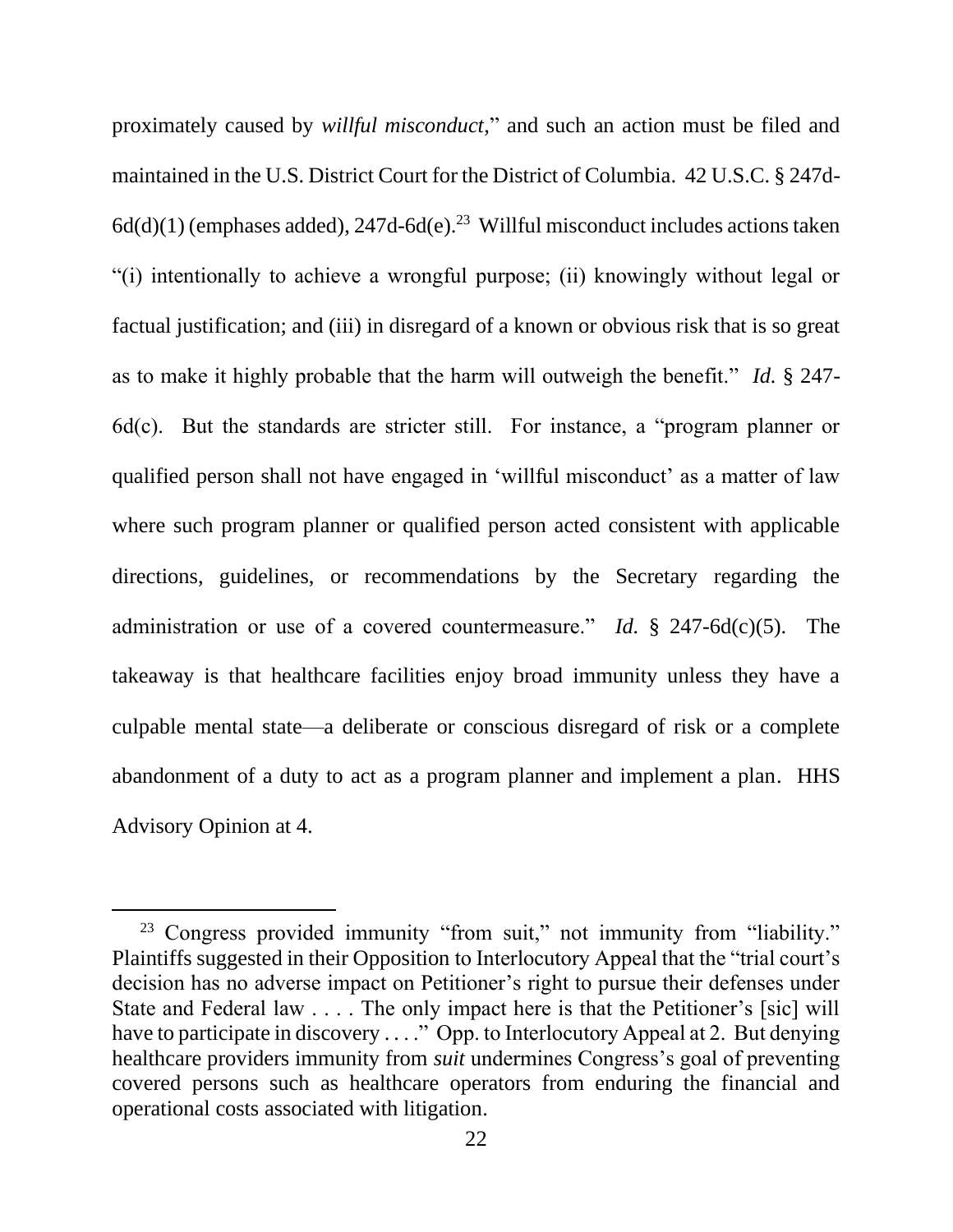proximately caused by *willful misconduct*," and such an action must be filed and maintained in the U.S. District Court for the District of Columbia. 42 U.S.C. § 247d- $6d(d)(1)$  (emphases added), 247d- $6d(e)$ .<sup>23</sup> Willful misconduct includes actions taken "(i) intentionally to achieve a wrongful purpose; (ii) knowingly without legal or factual justification; and (iii) in disregard of a known or obvious risk that is so great as to make it highly probable that the harm will outweigh the benefit." *Id.* § 247- 6d(c). But the standards are stricter still. For instance, a "program planner or qualified person shall not have engaged in 'willful misconduct' as a matter of law where such program planner or qualified person acted consistent with applicable directions, guidelines, or recommendations by the Secretary regarding the administration or use of a covered countermeasure." *Id.* § 247-6d(c)(5). The takeaway is that healthcare facilities enjoy broad immunity unless they have a culpable mental state—a deliberate or conscious disregard of risk or a complete abandonment of a duty to act as a program planner and implement a plan. HHS Advisory Opinion at 4.

<sup>&</sup>lt;sup>23</sup> Congress provided immunity "from suit," not immunity from "liability." Plaintiffs suggested in their Opposition to Interlocutory Appeal that the "trial court's decision has no adverse impact on Petitioner's right to pursue their defenses under State and Federal law . . . . The only impact here is that the Petitioner's [sic] will have to participate in discovery ...." Opp. to Interlocutory Appeal at 2. But denying healthcare providers immunity from *suit* undermines Congress's goal of preventing covered persons such as healthcare operators from enduring the financial and operational costs associated with litigation.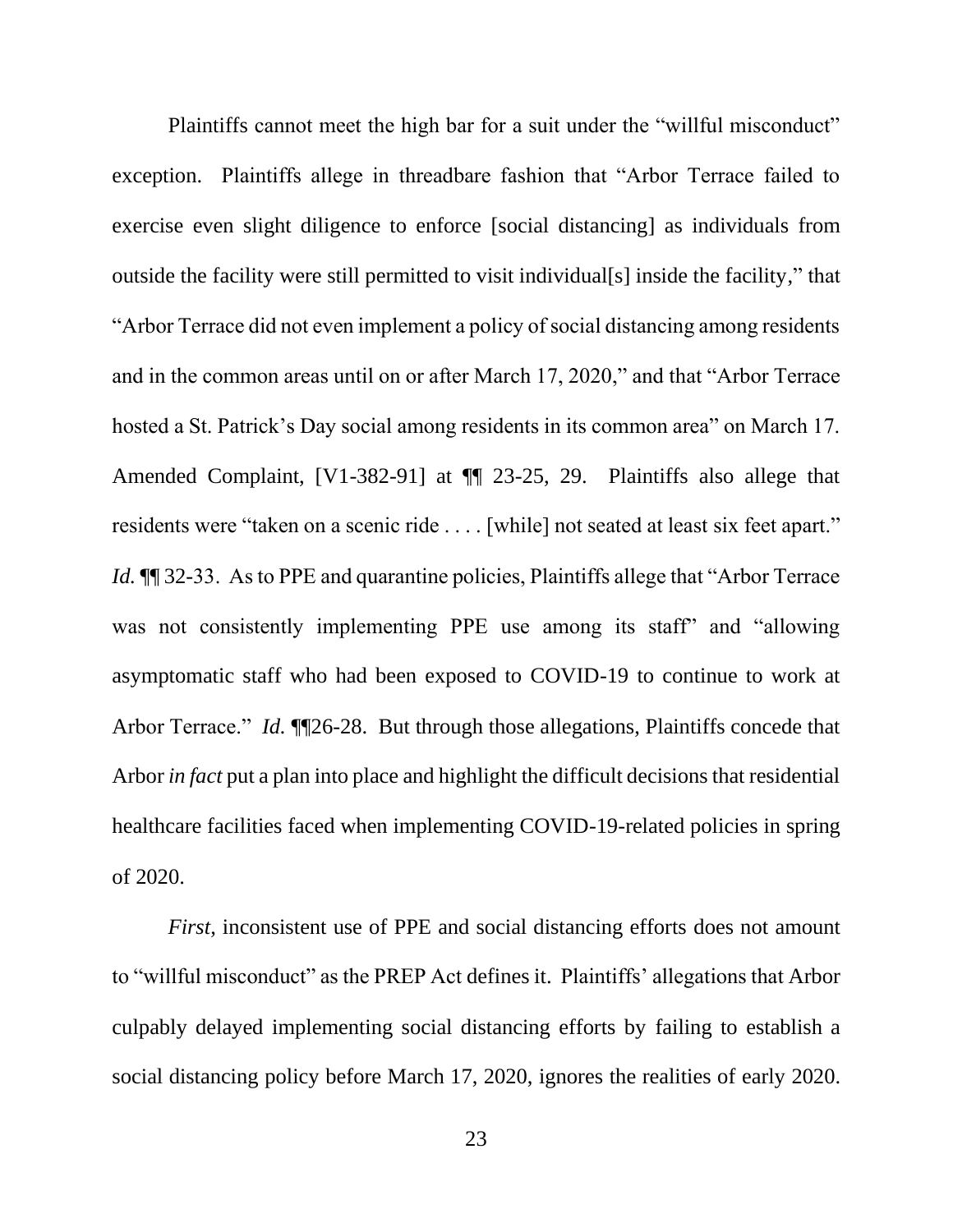Plaintiffs cannot meet the high bar for a suit under the "willful misconduct" exception. Plaintiffs allege in threadbare fashion that "Arbor Terrace failed to exercise even slight diligence to enforce [social distancing] as individuals from outside the facility were still permitted to visit individual[s] inside the facility," that "Arbor Terrace did not even implement a policy of social distancing among residents and in the common areas until on or after March 17, 2020," and that "Arbor Terrace hosted a St. Patrick's Day social among residents in its common area" on March 17. Amended Complaint, [V1-382-91] at ¶¶ 23-25, 29. Plaintiffs also allege that residents were "taken on a scenic ride . . . . [while] not seated at least six feet apart." *Id.*  $\P$  32-33. As to PPE and quarantine policies, Plaintiffs allege that "Arbor Terrace" was not consistently implementing PPE use among its staff" and "allowing asymptomatic staff who had been exposed to COVID-19 to continue to work at Arbor Terrace." *Id.* ¶¶26-28. But through those allegations, Plaintiffs concede that Arbor *in fact* put a plan into place and highlight the difficult decisions that residential healthcare facilities faced when implementing COVID-19-related policies in spring of 2020.

*First*, inconsistent use of PPE and social distancing efforts does not amount to "willful misconduct" as the PREP Act defines it. Plaintiffs' allegations that Arbor culpably delayed implementing social distancing efforts by failing to establish a social distancing policy before March 17, 2020, ignores the realities of early 2020.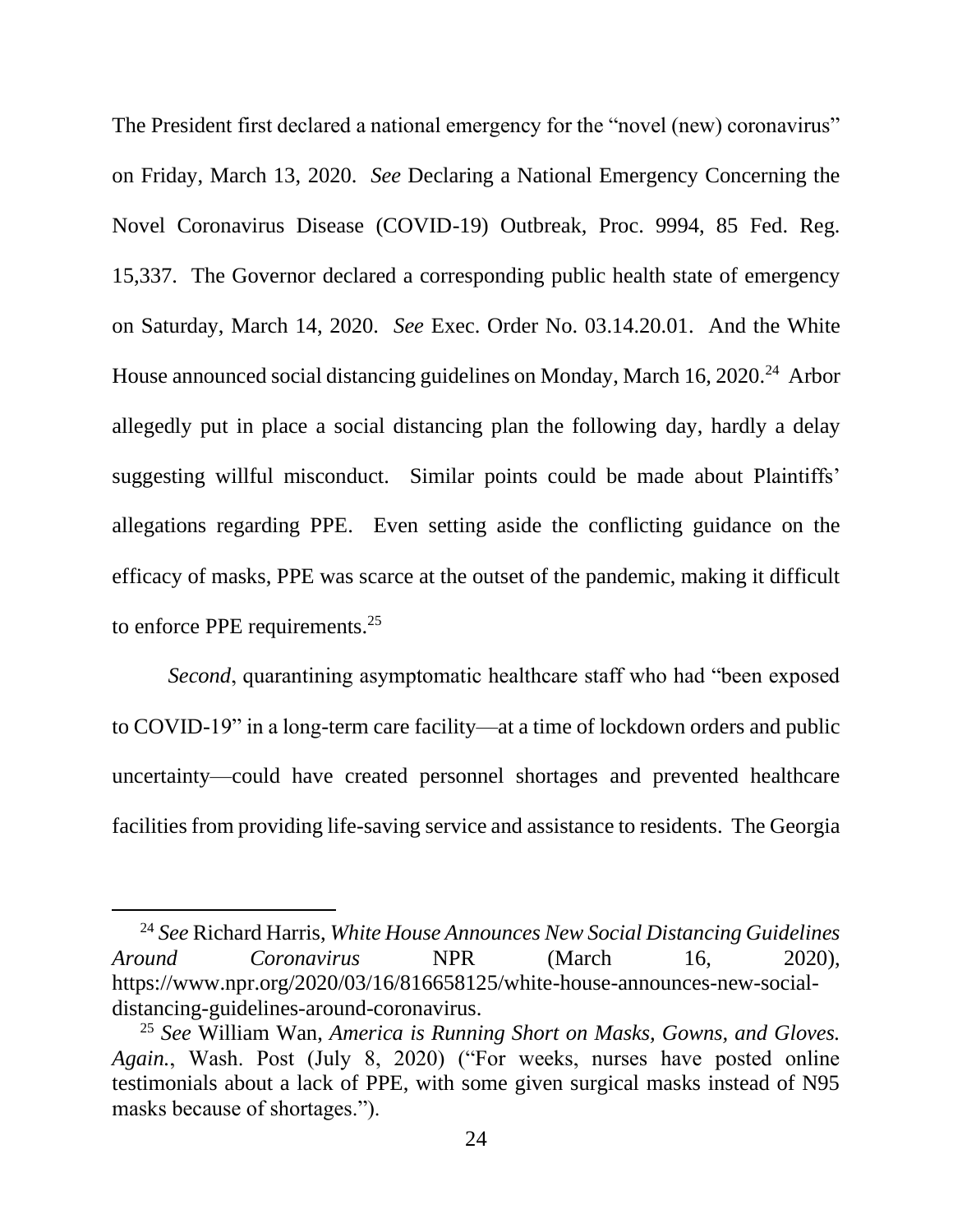<span id="page-29-1"></span><span id="page-29-0"></span>The President first declared a national emergency for the "novel (new) coronavirus" on Friday, March 13, 2020. *See* Declaring a National Emergency Concerning the Novel Coronavirus Disease (COVID-19) Outbreak, Proc. 9994, 85 Fed. Reg. 15,337. The Governor declared a corresponding public health state of emergency on Saturday, March 14, 2020. *See* Exec. Order No. 03.14.20.01. And the White House announced social distancing guidelines on Monday, March 16, 2020.<sup>24</sup> Arbor allegedly put in place a social distancing plan the following day, hardly a delay suggesting willful misconduct. Similar points could be made about Plaintiffs' allegations regarding PPE. Even setting aside the conflicting guidance on the efficacy of masks, PPE was scarce at the outset of the pandemic, making it difficult to enforce PPE requirements. $25$ 

*Second*, quarantining asymptomatic healthcare staff who had "been exposed to COVID-19" in a long-term care facility—at a time of lockdown orders and public uncertainty—could have created personnel shortages and prevented healthcare facilities from providing life-saving service and assistance to residents. The Georgia

<span id="page-29-2"></span><sup>24</sup> *See* Richard Harris, *White House Announces New Social Distancing Guidelines Around Coronavirus* NPR (March 16, 2020), https://www.npr.org/2020/03/16/816658125/white-house-announces-new-socialdistancing-guidelines-around-coronavirus.

<span id="page-29-3"></span><sup>25</sup> *See* William Wan, *America is Running Short on Masks, Gowns, and Gloves. Again.*, Wash. Post (July 8, 2020) ("For weeks, nurses have posted online testimonials about a lack of PPE, with some given surgical masks instead of N95 masks because of shortages.").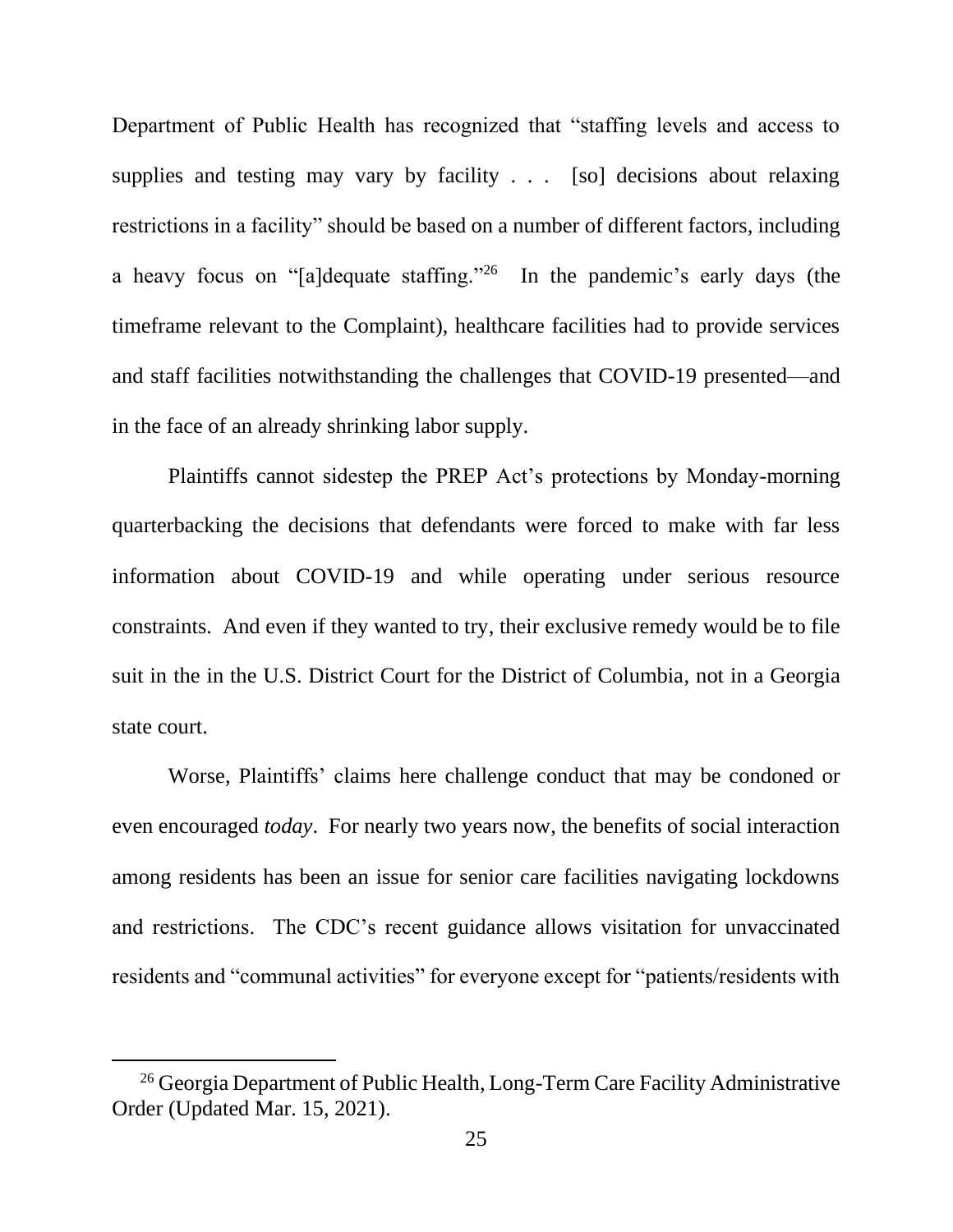Department of Public Health has recognized that "staffing levels and access to supplies and testing may vary by facility . . . [so] decisions about relaxing restrictions in a facility" should be based on a number of different factors, including a heavy focus on "[a]dequate staffing."<sup>26</sup> In the pandemic's early days (the timeframe relevant to the Complaint), healthcare facilities had to provide services and staff facilities notwithstanding the challenges that COVID-19 presented—and in the face of an already shrinking labor supply.

Plaintiffs cannot sidestep the PREP Act's protections by Monday-morning quarterbacking the decisions that defendants were forced to make with far less information about COVID-19 and while operating under serious resource constraints. And even if they wanted to try, their exclusive remedy would be to file suit in the in the U.S. District Court for the District of Columbia, not in a Georgia state court.

Worse, Plaintiffs' claims here challenge conduct that may be condoned or even encouraged *today*. For nearly two years now, the benefits of social interaction among residents has been an issue for senior care facilities navigating lockdowns and restrictions. The CDC's recent guidance allows visitation for unvaccinated residents and "communal activities" for everyone except for "patients/residents with

<sup>&</sup>lt;sup>26</sup> Georgia Department of Public Health, Long-Term Care Facility Administrative Order (Updated Mar. 15, 2021).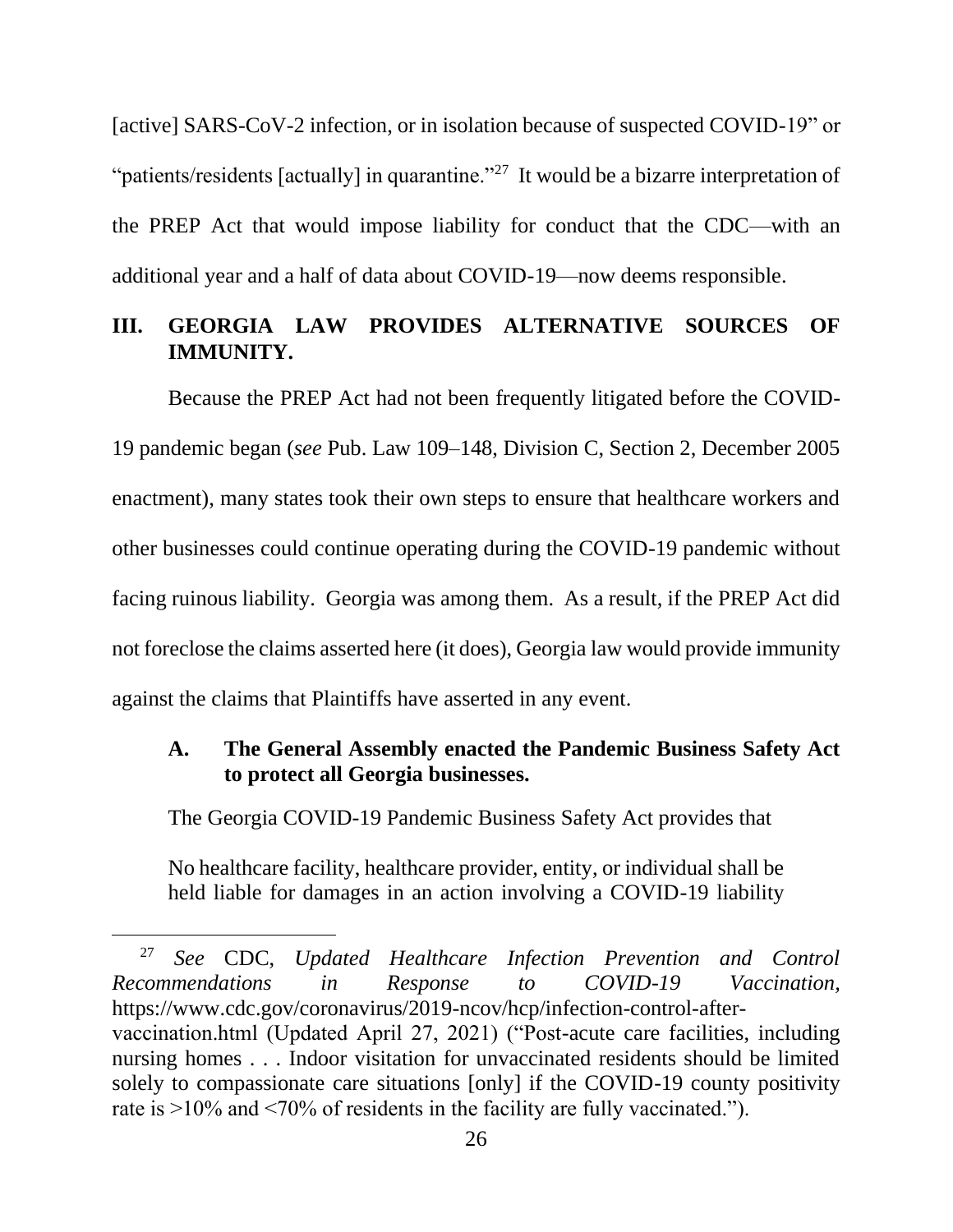[active] SARS-CoV-2 infection, or in isolation because of suspected COVID-19" or "patients/residents [actually] in quarantine."<sup>27</sup> It would be a bizarre interpretation of the PREP Act that would impose liability for conduct that the CDC—with an additional year and a half of data about COVID-19—now deems responsible.

# <span id="page-31-0"></span>**III. GEORGIA LAW PROVIDES ALTERNATIVE SOURCES OF IMMUNITY.**

<span id="page-31-3"></span>Because the PREP Act had not been frequently litigated before the COVID-19 pandemic began (*see* Pub. Law 109–148, Division C, Section 2, December 2005 enactment), many states took their own steps to ensure that healthcare workers and other businesses could continue operating during the COVID-19 pandemic without facing ruinous liability. Georgia was among them. As a result, if the PREP Act did not foreclose the claims asserted here (it does), Georgia law would provide immunity against the claims that Plaintiffs have asserted in any event.

## <span id="page-31-1"></span>**A. The General Assembly enacted the Pandemic Business Safety Act to protect all Georgia businesses.**

The Georgia COVID-19 Pandemic Business Safety Act provides that

<span id="page-31-2"></span>No healthcare facility, healthcare provider, entity, or individual shall be held liable for damages in an action involving a COVID-19 liability

<sup>27</sup> *See* CDC, *Updated Healthcare Infection Prevention and Control Recommendations in Response to COVID-19 Vaccination,* https://www.cdc.gov/coronavirus/2019-ncov/hcp/infection-control-aftervaccination.html (Updated April 27, 2021) ("Post-acute care facilities, including nursing homes . . . Indoor visitation for unvaccinated residents should be limited solely to compassionate care situations [only] if the COVID-19 county positivity rate is >10% and <70% of residents in the facility are fully vaccinated.").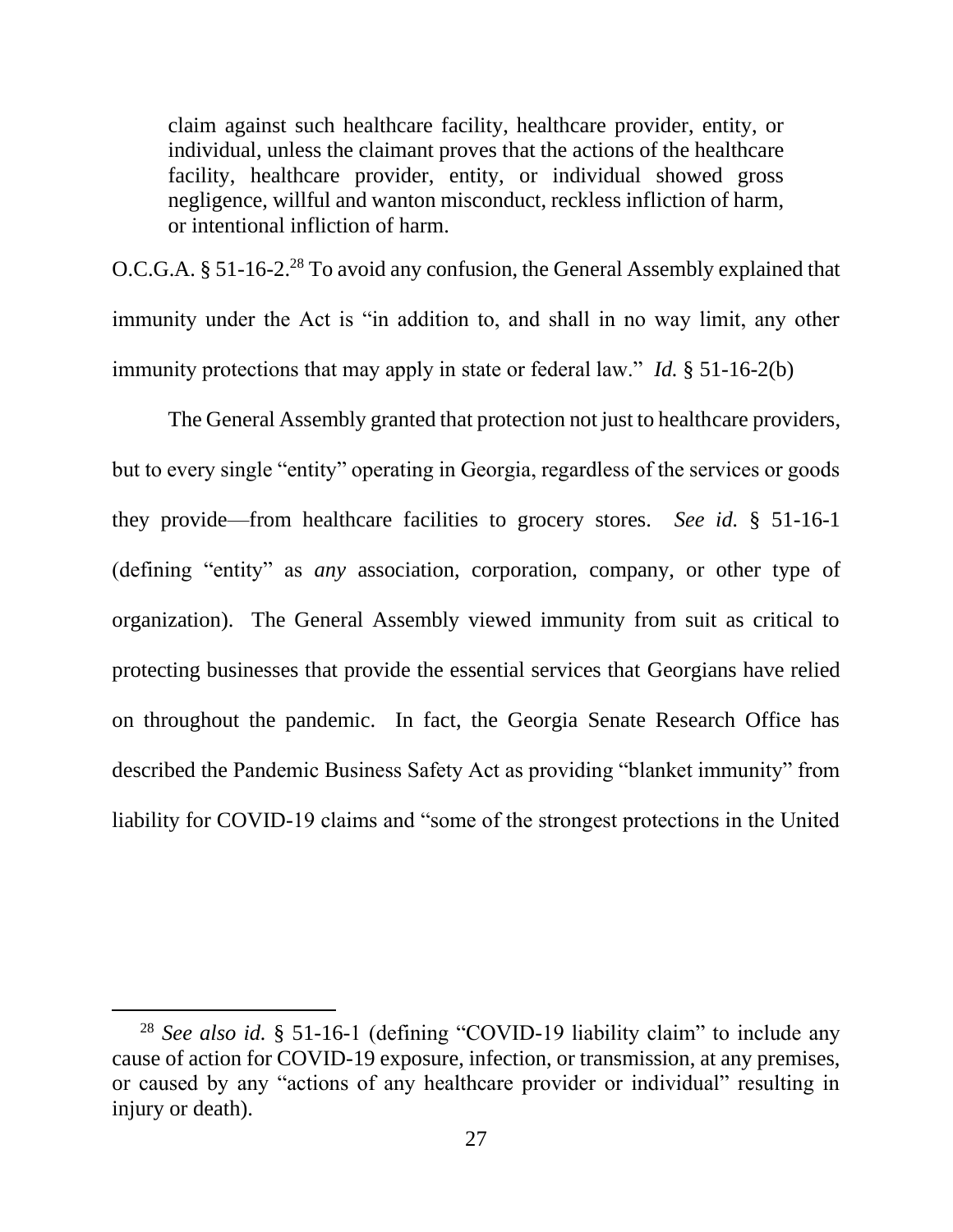claim against such healthcare facility, healthcare provider, entity, or individual, unless the claimant proves that the actions of the healthcare facility, healthcare provider, entity, or individual showed gross negligence, willful and wanton misconduct, reckless infliction of harm, or intentional infliction of harm.

<span id="page-32-0"></span>O.C.G.A. § 51-16-2.<sup>28</sup> To avoid any confusion, the General Assembly explained that immunity under the Act is "in addition to, and shall in no way limit, any other immunity protections that may apply in state or federal law." *Id.* § 51-16-2(b)

The General Assembly granted that protection not just to healthcare providers, but to every single "entity" operating in Georgia, regardless of the services or goods they provide—from healthcare facilities to grocery stores. *See id.* § 51-16-1 (defining "entity" as *any* association, corporation, company, or other type of organization). The General Assembly viewed immunity from suit as critical to protecting businesses that provide the essential services that Georgians have relied on throughout the pandemic. In fact, the Georgia Senate Research Office has described the Pandemic Business Safety Act as providing "blanket immunity" from liability for COVID-19 claims and "some of the strongest protections in the United

<sup>28</sup> *See also id.* § 51-16-1 (defining "COVID-19 liability claim" to include any cause of action for COVID-19 exposure, infection, or transmission, at any premises, or caused by any "actions of any healthcare provider or individual" resulting in injury or death).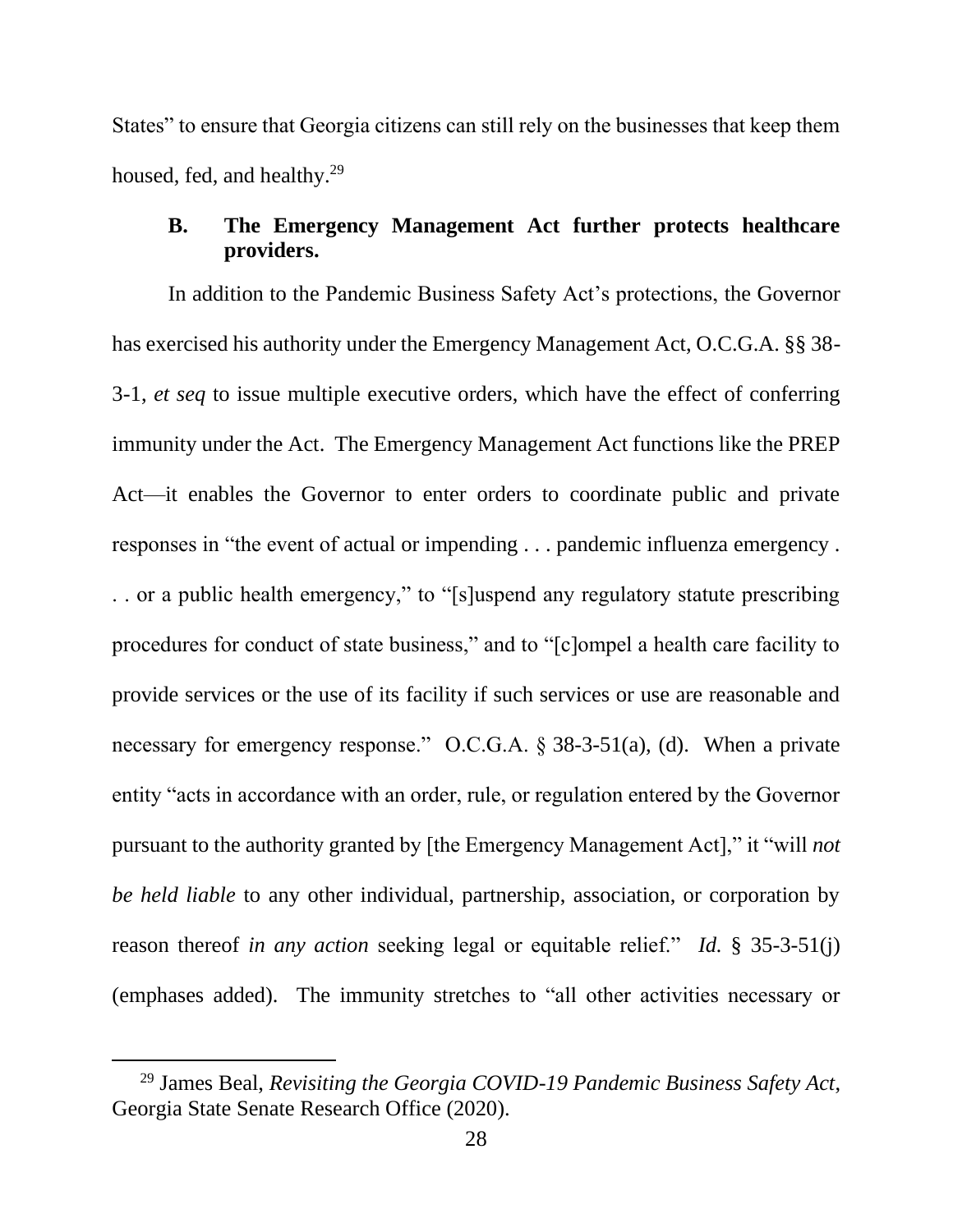States" to ensure that Georgia citizens can still rely on the businesses that keep them housed, fed, and healthy.<sup>29</sup>

## <span id="page-33-1"></span><span id="page-33-0"></span>**B. The Emergency Management Act further protects healthcare providers.**

In addition to the Pandemic Business Safety Act's protections, the Governor has exercised his authority under the Emergency Management Act, O.C.G.A. §§ 38- 3-1, *et seq* to issue multiple executive orders, which have the effect of conferring immunity under the Act. The Emergency Management Act functions like the PREP Act—it enables the Governor to enter orders to coordinate public and private responses in "the event of actual or impending . . . pandemic influenza emergency . . . or a public health emergency," to "[s]uspend any regulatory statute prescribing procedures for conduct of state business," and to "[c]ompel a health care facility to provide services or the use of its facility if such services or use are reasonable and necessary for emergency response." O.C.G.A. § 38-3-51(a), (d). When a private entity "acts in accordance with an order, rule, or regulation entered by the Governor pursuant to the authority granted by [the Emergency Management Act]," it "will *not be held liable* to any other individual, partnership, association, or corporation by reason thereof *in any action* seeking legal or equitable relief." *Id.* § 35-3-51(j) (emphases added). The immunity stretches to "all other activities necessary or

<span id="page-33-2"></span><sup>29</sup> James Beal, *Revisiting the Georgia COVID-19 Pandemic Business Safety Act*, Georgia State Senate Research Office (2020).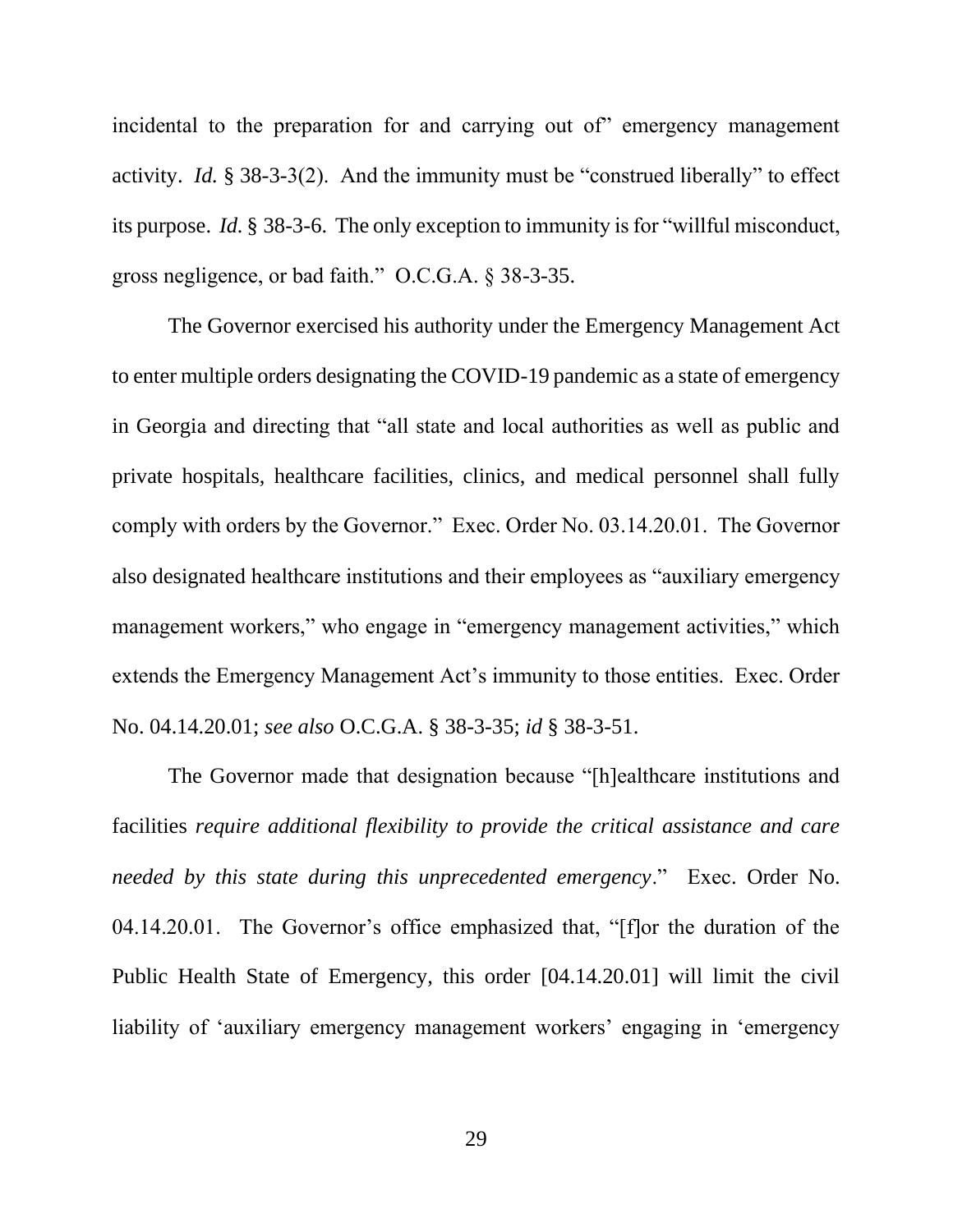incidental to the preparation for and carrying out of" emergency management activity. *Id.* § 38-3-3(2). And the immunity must be "construed liberally" to effect its purpose. *Id.* § 38-3-6. The only exception to immunity is for "willful misconduct, gross negligence, or bad faith." O.C.G.A. § 38-3-35.

<span id="page-34-2"></span><span id="page-34-0"></span>The Governor exercised his authority under the Emergency Management Act to enter multiple orders designating the COVID-19 pandemic as a state of emergency in Georgia and directing that "all state and local authorities as well as public and private hospitals, healthcare facilities, clinics, and medical personnel shall fully comply with orders by the Governor." Exec. Order No. 03.14.20.01. The Governor also designated healthcare institutions and their employees as "auxiliary emergency management workers," who engage in "emergency management activities," which extends the Emergency Management Act's immunity to those entities. Exec. Order No. 04.14.20.01; *see also* O.C.G.A. § 38-3-35; *id* § 38-3-51.

<span id="page-34-3"></span><span id="page-34-1"></span>The Governor made that designation because "[h]ealthcare institutions and facilities *require additional flexibility to provide the critical assistance and care needed by this state during this unprecedented emergency*." Exec. Order No. 04.14.20.01. The Governor's office emphasized that, "[f]or the duration of the Public Health State of Emergency, this order [04.14.20.01] will limit the civil liability of 'auxiliary emergency management workers' engaging in 'emergency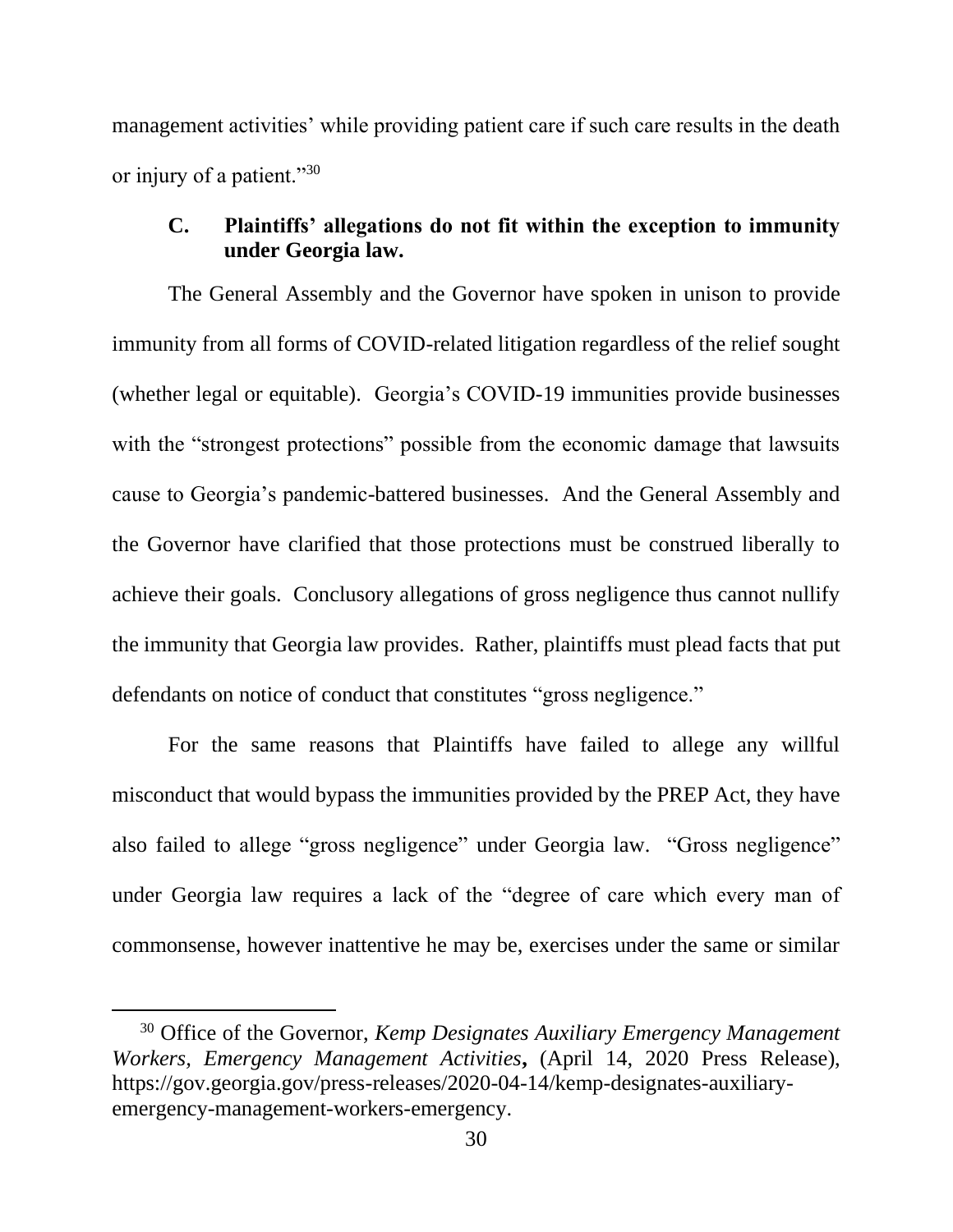management activities' while providing patient care if such care results in the death or injury of a patient."30

### <span id="page-35-0"></span>**C. Plaintiffs' allegations do not fit within the exception to immunity under Georgia law.**

The General Assembly and the Governor have spoken in unison to provide immunity from all forms of COVID-related litigation regardless of the relief sought (whether legal or equitable). Georgia's COVID-19 immunities provide businesses with the "strongest protections" possible from the economic damage that lawsuits cause to Georgia's pandemic-battered businesses. And the General Assembly and the Governor have clarified that those protections must be construed liberally to achieve their goals. Conclusory allegations of gross negligence thus cannot nullify the immunity that Georgia law provides. Rather, plaintiffs must plead facts that put defendants on notice of conduct that constitutes "gross negligence."

For the same reasons that Plaintiffs have failed to allege any willful misconduct that would bypass the immunities provided by the PREP Act, they have also failed to allege "gross negligence" under Georgia law. "Gross negligence" under Georgia law requires a lack of the "degree of care which every man of commonsense, however inattentive he may be, exercises under the same or similar

<span id="page-35-1"></span><sup>30</sup> Office of the Governor, *Kemp Designates Auxiliary Emergency Management Workers, Emergency Management Activities***,** (April 14, 2020 Press Release), https://gov.georgia.gov/press-releases/2020-04-14/kemp-designates-auxiliaryemergency-management-workers-emergency.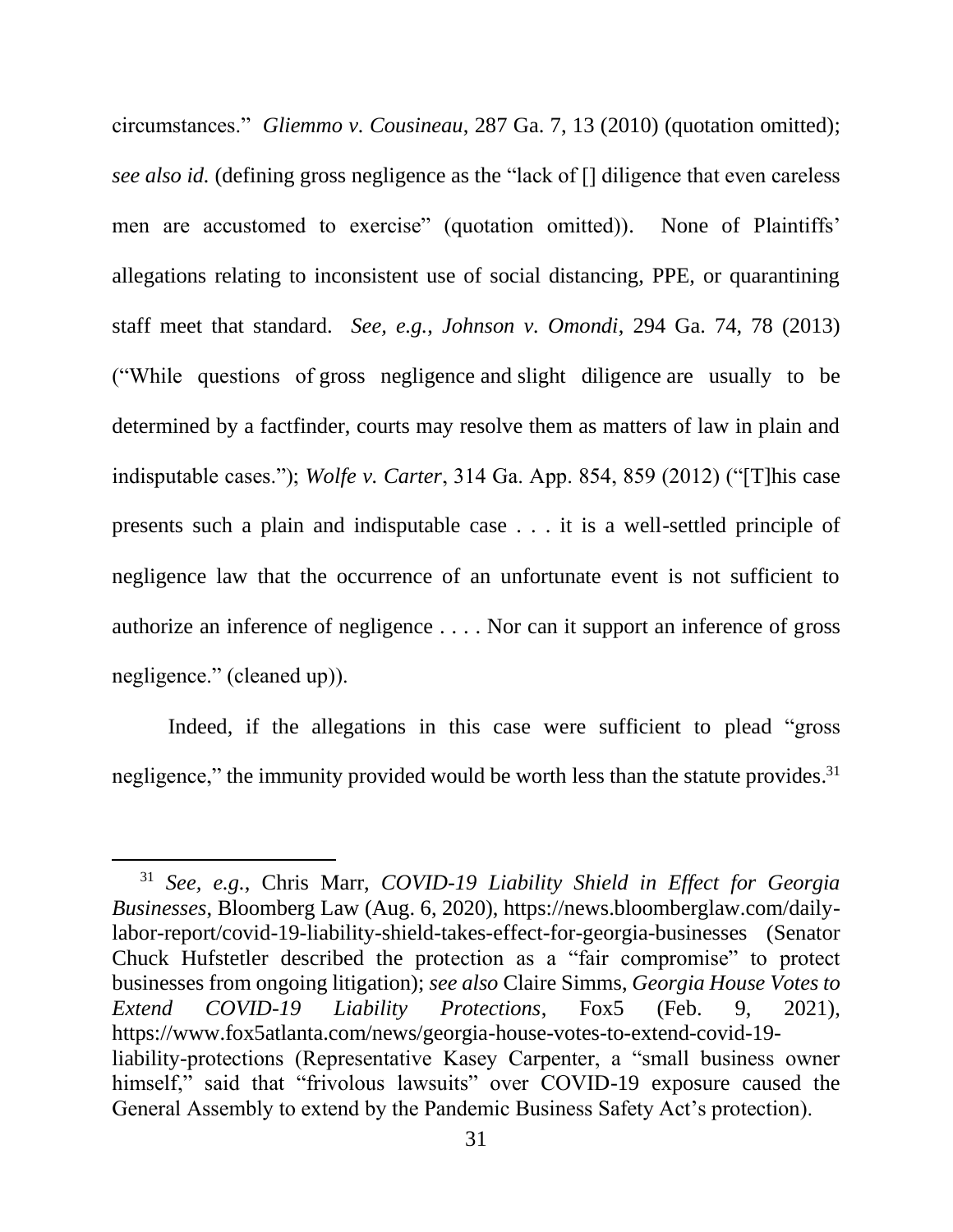<span id="page-36-1"></span><span id="page-36-0"></span>circumstances." *Gliemmo v. Cousineau*, 287 Ga. 7, 13 (2010) (quotation omitted); *see also id.* (defining gross negligence as the "lack of [] diligence that even careless men are accustomed to exercise" (quotation omitted)). None of Plaintiffs' allegations relating to inconsistent use of social distancing, PPE, or quarantining staff meet that standard. *See, e.g.*, *Johnson v. Omondi*, 294 Ga. 74, 78 (2013) ("While questions of gross negligence and slight diligence are usually to be determined by a factfinder, courts may resolve them as matters of law in plain and indisputable cases."); *Wolfe v. Carter*, 314 Ga. App. 854, 859 (2012) ("[T]his case presents such a plain and indisputable case . . . it is a well-settled principle of negligence law that the occurrence of an unfortunate event is not sufficient to authorize an inference of negligence . . . . Nor can it support an inference of gross negligence." (cleaned up)).

<span id="page-36-2"></span>Indeed, if the allegations in this case were sufficient to plead "gross negligence," the immunity provided would be worth less than the statute provides.<sup>31</sup>

<span id="page-36-4"></span><span id="page-36-3"></span><sup>31</sup> *See, e.g.*, Chris Marr, *COVID-19 Liability Shield in Effect for Georgia Businesses*, Bloomberg Law (Aug. 6, 2020), https://news.bloomberglaw.com/dailylabor-report/covid-19-liability-shield-takes-effect-for-georgia-businesses (Senator Chuck Hufstetler described the protection as a "fair compromise" to protect businesses from ongoing litigation); *see also* Claire Simms, *Georgia House Votes to Extend COVID-19 Liability Protections*, Fox5 (Feb. 9, 2021), https://www.fox5atlanta.com/news/georgia-house-votes-to-extend-covid-19 liability-protections (Representative Kasey Carpenter, a "small business owner himself," said that "frivolous lawsuits" over COVID-19 exposure caused the General Assembly to extend by the Pandemic Business Safety Act's protection).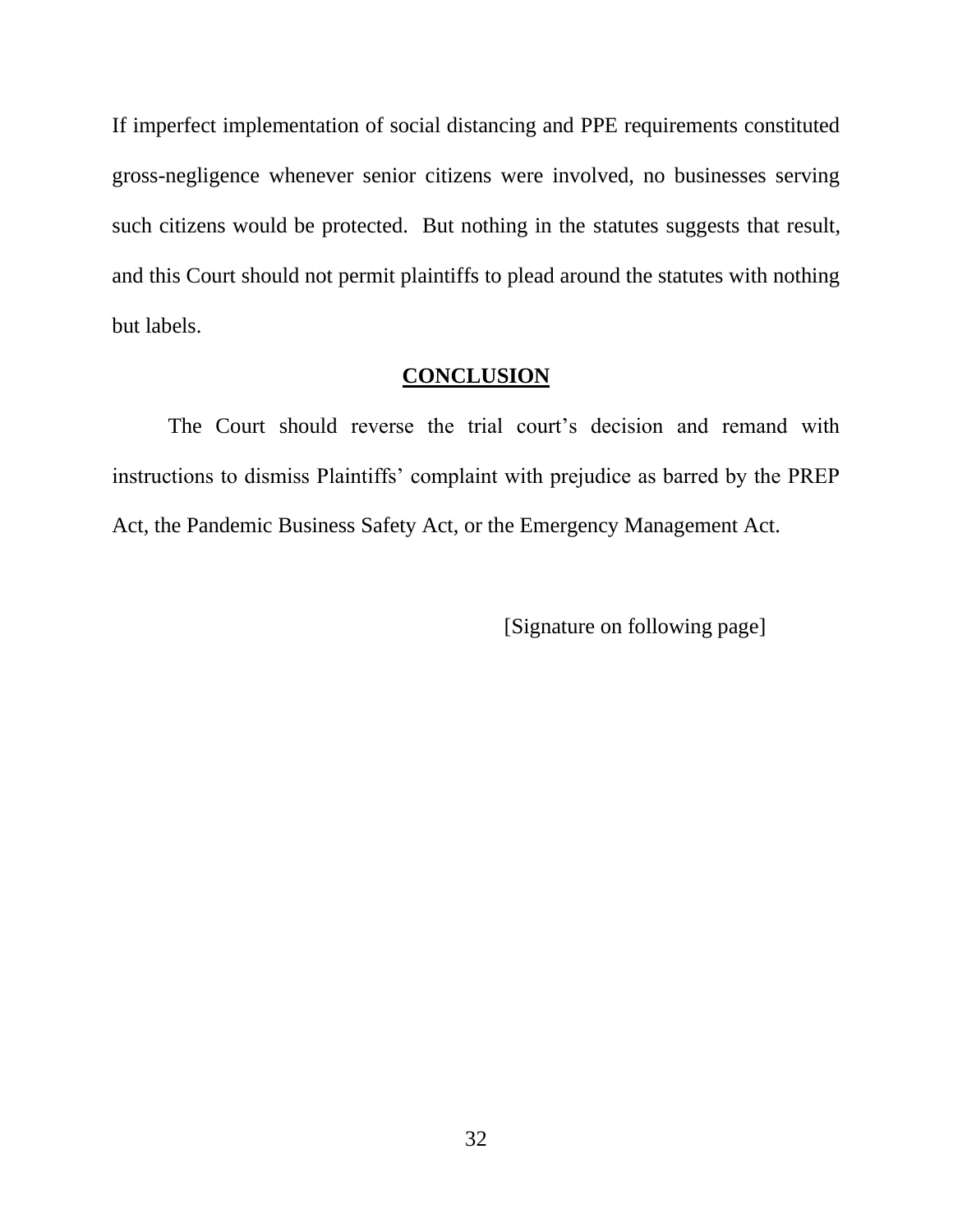If imperfect implementation of social distancing and PPE requirements constituted gross-negligence whenever senior citizens were involved, no businesses serving such citizens would be protected. But nothing in the statutes suggests that result, and this Court should not permit plaintiffs to plead around the statutes with nothing but labels.

### **CONCLUSION**

<span id="page-37-0"></span>The Court should reverse the trial court's decision and remand with instructions to dismiss Plaintiffs' complaint with prejudice as barred by the PREP Act, the Pandemic Business Safety Act, or the Emergency Management Act.

[Signature on following page]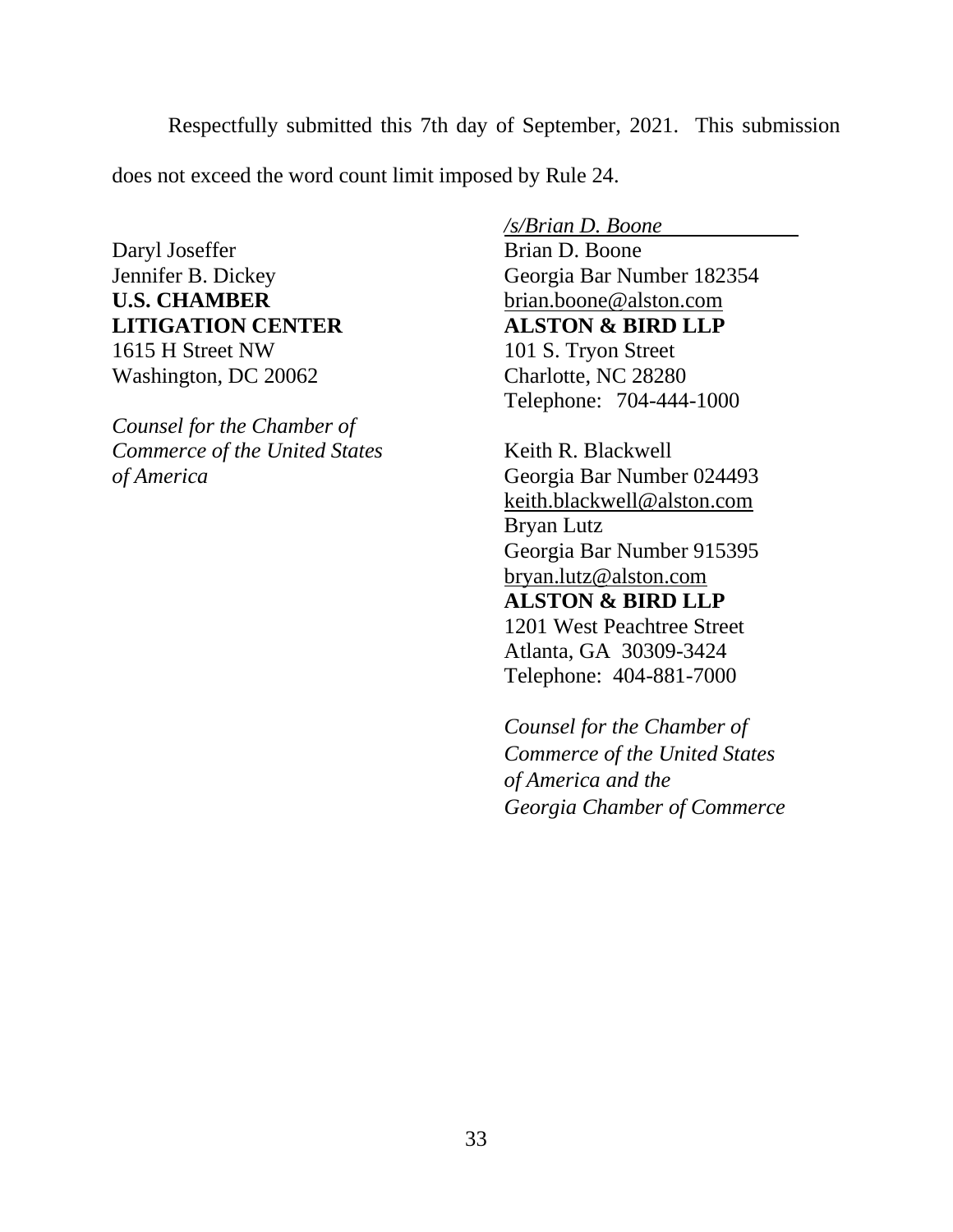Respectfully submitted this 7th day of September, 2021. This submission does not exceed the word count limit imposed by Rule 24.

Daryl Joseffer Brian D. Boone **U.S. CHAMBER** brian.boone@alston.com **LITIGATION CENTER ALSTON & BIRD LLP** 1615 H Street NW 101 S. Tryon Street Washington, DC 20062 Charlotte, NC 28280

*Counsel for the Chamber of Commerce of the United States* **Keith R. Blackwell** *of America* Georgia Bar Number 024493

*/s/Brian D. Boone* 

Jennifer B. Dickey Georgia Bar Number 182354 Telephone: 704-444-1000

> keith.blackwell@alston.com Bryan Lutz Georgia Bar Number 915395 bryan.lutz@alston.com **ALSTON & BIRD LLP** 1201 West Peachtree Street Atlanta, GA 30309-3424 Telephone: 404-881-7000

*Counsel for the Chamber of Commerce of the United States of America and the Georgia Chamber of Commerce*